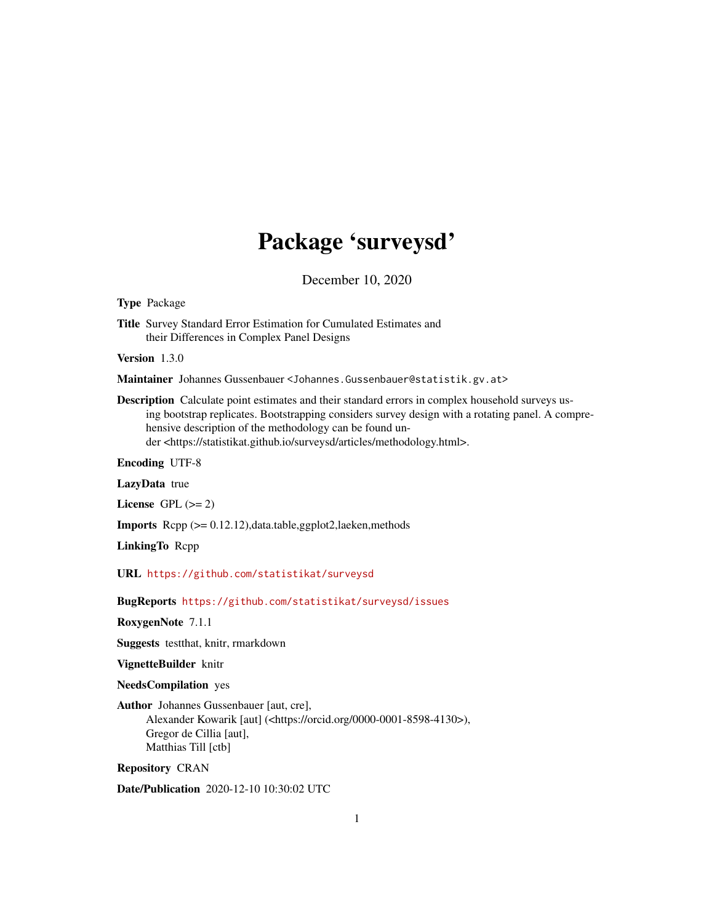# Package 'surveysd'

December 10, 2020

<span id="page-0-0"></span>Type Package

Title Survey Standard Error Estimation for Cumulated Estimates and their Differences in Complex Panel Designs

Version 1.3.0

Maintainer Johannes Gussenbauer <Johannes.Gussenbauer@statistik.gv.at>

Description Calculate point estimates and their standard errors in complex household surveys using bootstrap replicates. Bootstrapping considers survey design with a rotating panel. A comprehensive description of the methodology can be found under <https://statistikat.github.io/surveysd/articles/methodology.html>.

Encoding UTF-8

LazyData true

License GPL  $(>= 2)$ 

Imports Rcpp (>= 0.12.12),data.table,ggplot2,laeken,methods

LinkingTo Rcpp

URL <https://github.com/statistikat/surveysd>

BugReports <https://github.com/statistikat/surveysd/issues>

RoxygenNote 7.1.1

Suggests testthat, knitr, rmarkdown

VignetteBuilder knitr

NeedsCompilation yes

Author Johannes Gussenbauer [aut, cre], Alexander Kowarik [aut] (<https://orcid.org/0000-0001-8598-4130>), Gregor de Cillia [aut], Matthias Till [ctb]

Repository CRAN

Date/Publication 2020-12-10 10:30:02 UTC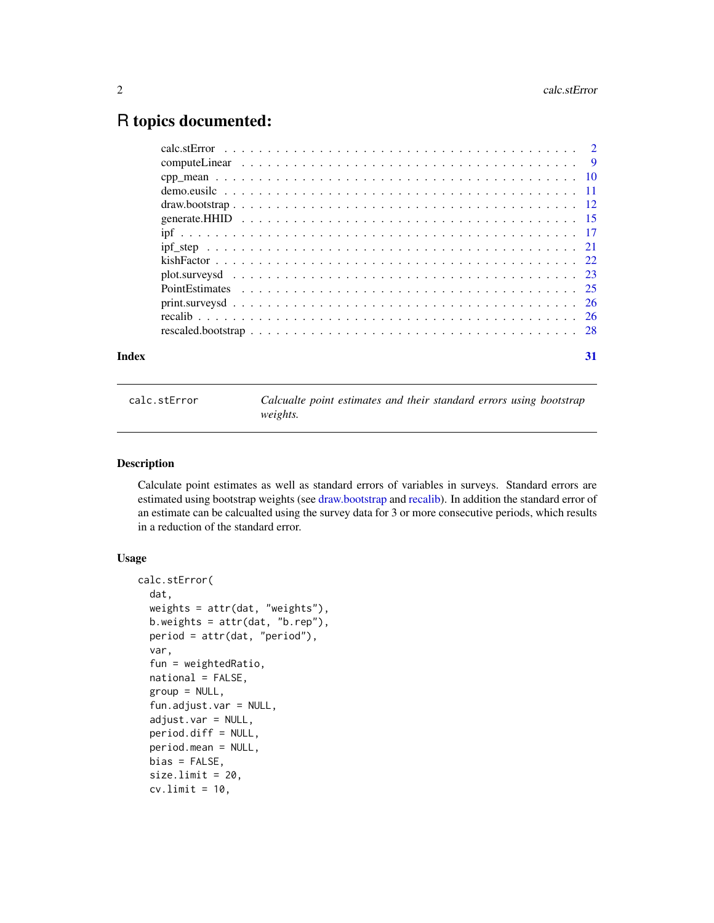# <span id="page-1-0"></span>R topics documented:

| Index | 31 |
|-------|----|

<span id="page-1-1"></span>calc.stError *Calcualte point estimates and their standard errors using bootstrap weights.*

#### Description

Calculate point estimates as well as standard errors of variables in surveys. Standard errors are estimated using bootstrap weights (see [draw.bootstrap](#page-11-1) and [recalib\)](#page-25-1). In addition the standard error of an estimate can be calcualted using the survey data for 3 or more consecutive periods, which results in a reduction of the standard error.

#### Usage

```
calc.stError(
  dat,
  weights = attr(dat, "weights"),
  b.weights = attr(dat, "b.rep"),
  period = attr(dat, "period"),
  var,
  fun = weightedRatio,
  national = FALSE,
  group = NULL,fun.adjust.var = NULL,
  adjust.var = NULL,
  period.diff = NULL,
  period.mean = NULL,
  bias = FALSE,
  size.limit = 20,
  cv.limit = 10,
```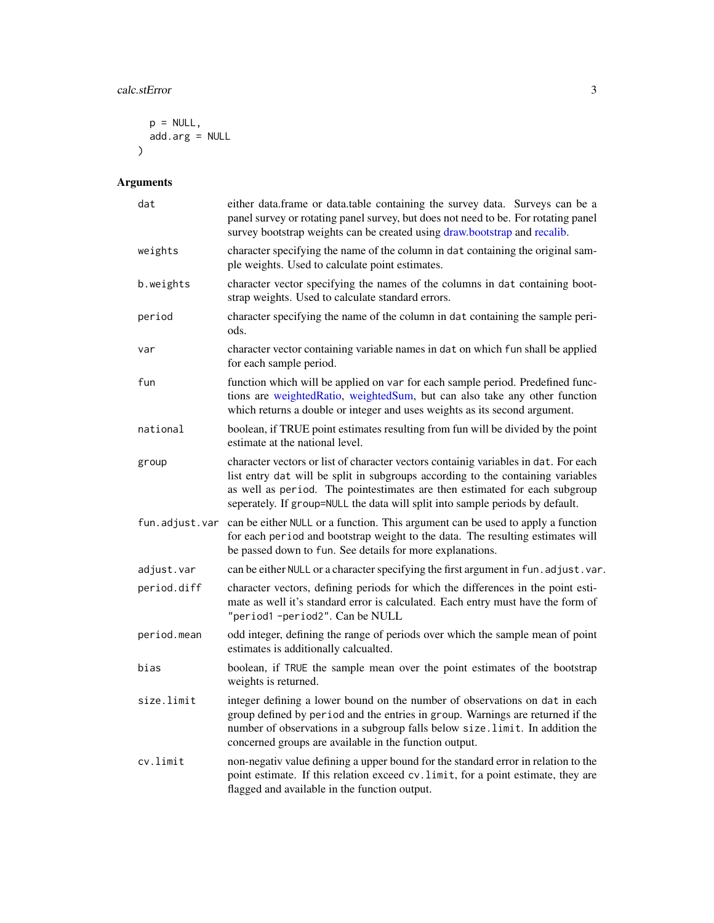```
p = NULL,add.arg = NULL
\lambda
```
# Arguments

| dat            | either data.frame or data.table containing the survey data. Surveys can be a<br>panel survey or rotating panel survey, but does not need to be. For rotating panel<br>survey bootstrap weights can be created using draw.bootstrap and recalib.                                                                                       |
|----------------|---------------------------------------------------------------------------------------------------------------------------------------------------------------------------------------------------------------------------------------------------------------------------------------------------------------------------------------|
| weights        | character specifying the name of the column in dat containing the original sam-<br>ple weights. Used to calculate point estimates.                                                                                                                                                                                                    |
| b.weights      | character vector specifying the names of the columns in dat containing boot-<br>strap weights. Used to calculate standard errors.                                                                                                                                                                                                     |
| period         | character specifying the name of the column in dat containing the sample peri-<br>ods.                                                                                                                                                                                                                                                |
| var            | character vector containing variable names in dat on which fun shall be applied<br>for each sample period.                                                                                                                                                                                                                            |
| fun            | function which will be applied on var for each sample period. Predefined func-<br>tions are weightedRatio, weightedSum, but can also take any other function<br>which returns a double or integer and uses weights as its second argument.                                                                                            |
| national       | boolean, if TRUE point estimates resulting from fun will be divided by the point<br>estimate at the national level.                                                                                                                                                                                                                   |
| group          | character vectors or list of character vectors containig variables in dat. For each<br>list entry dat will be split in subgroups according to the containing variables<br>as well as period. The pointestimates are then estimated for each subgroup<br>seperately. If group=NULL the data will split into sample periods by default. |
| fun.adjust.var | can be either NULL or a function. This argument can be used to apply a function<br>for each period and bootstrap weight to the data. The resulting estimates will<br>be passed down to fun. See details for more explanations.                                                                                                        |
| adjust.var     | can be either NULL or a character specifying the first argument in fun. adjust. var.                                                                                                                                                                                                                                                  |
| period.diff    | character vectors, defining periods for which the differences in the point esti-<br>mate as well it's standard error is calculated. Each entry must have the form of<br>"period1-period2". Can be NULL                                                                                                                                |
| period.mean    | odd integer, defining the range of periods over which the sample mean of point<br>estimates is additionally calcualted.                                                                                                                                                                                                               |
| bias           | boolean, if TRUE the sample mean over the point estimates of the bootstrap<br>weights is returned.                                                                                                                                                                                                                                    |
| size.limit     | integer defining a lower bound on the number of observations on dat in each<br>group defined by period and the entries in group. Warnings are returned if the<br>number of observations in a subgroup falls below size. limit. In addition the<br>concerned groups are available in the function output.                              |
| cv.limit       | non-negativ value defining a upper bound for the standard error in relation to the<br>point estimate. If this relation exceed cv. limit, for a point estimate, they are<br>flagged and available in the function output.                                                                                                              |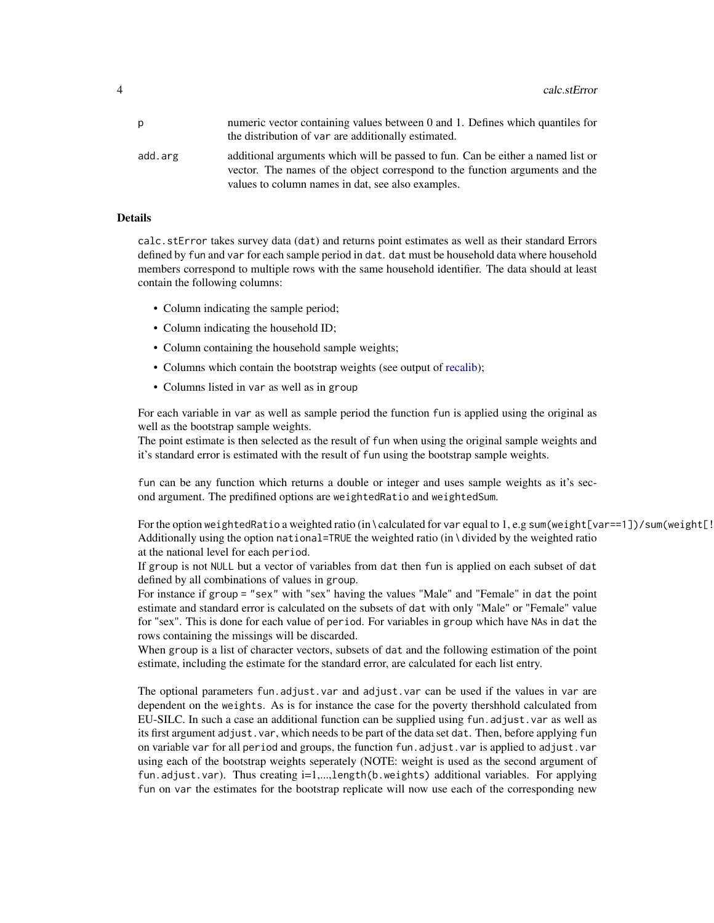<span id="page-3-0"></span>

| p       | numeric vector containing values between 0 and 1. Defines which quantiles for<br>the distribution of var are additionally estimated.                                                                                 |
|---------|----------------------------------------------------------------------------------------------------------------------------------------------------------------------------------------------------------------------|
| add.arg | additional arguments which will be passed to fun. Can be either a named list or<br>vector. The names of the object correspond to the function arguments and the<br>values to column names in dat, see also examples. |

#### Details

calc.stError takes survey data (dat) and returns point estimates as well as their standard Errors defined by fun and var for each sample period in dat. dat must be household data where household members correspond to multiple rows with the same household identifier. The data should at least contain the following columns:

- Column indicating the sample period;
- Column indicating the household ID;
- Column containing the household sample weights;
- Columns which contain the bootstrap weights (see output of [recalib\)](#page-25-1);
- Columns listed in var as well as in group

For each variable in var as well as sample period the function fun is applied using the original as well as the bootstrap sample weights.

The point estimate is then selected as the result of fun when using the original sample weights and it's standard error is estimated with the result of fun using the bootstrap sample weights.

fun can be any function which returns a double or integer and uses sample weights as it's second argument. The predifined options are weightedRatio and weightedSum.

For the option weightedRatio a weighted ratio (in \calculated for var equal to 1, e.g sum(weight[var==1])/sum(weight[! Additionally using the option national=TRUE the weighted ratio (in \ divided by the weighted ratio at the national level for each period.

If group is not NULL but a vector of variables from dat then fun is applied on each subset of dat defined by all combinations of values in group.

For instance if group = "sex" with "sex" having the values "Male" and "Female" in dat the point estimate and standard error is calculated on the subsets of dat with only "Male" or "Female" value for "sex". This is done for each value of period. For variables in group which have NAs in dat the rows containing the missings will be discarded.

When group is a list of character vectors, subsets of dat and the following estimation of the point estimate, including the estimate for the standard error, are calculated for each list entry.

The optional parameters fun.adjust.var and adjust.var can be used if the values in var are dependent on the weights. As is for instance the case for the poverty thershhold calculated from EU-SILC. In such a case an additional function can be supplied using fun.adjust.var as well as its first argument adjust.var, which needs to be part of the data set dat. Then, before applying fun on variable var for all period and groups, the function fun.adjust.var is applied to adjust.var using each of the bootstrap weights seperately (NOTE: weight is used as the second argument of fun.adjust.var). Thus creating i=1,...,length(b.weights) additional variables. For applying fun on var the estimates for the bootstrap replicate will now use each of the corresponding new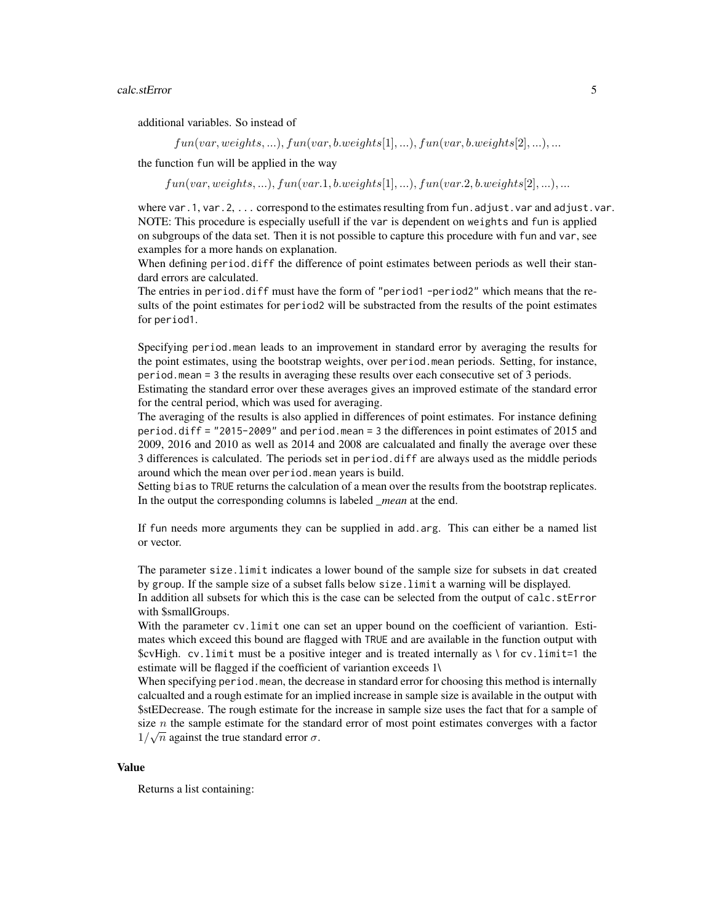#### calc.stError 5

additional variables. So instead of

 $fun(var, weights, \ldots), fun(var, b.weights[1], \ldots), fun(var, b.weights[2], \ldots), \ldots$ 

the function fun will be applied in the way

 $fun(var, weights, ...)$ ,  $fun(var.1, b.weights[1], ...)$ ,  $fun(var.2, b.weights[2], ...)$ , ...

where var. 1, var. 2, ... correspond to the estimates resulting from fun. adjust. var and adjust. var. NOTE: This procedure is especially usefull if the var is dependent on weights and fun is applied on subgroups of the data set. Then it is not possible to capture this procedure with fun and var, see examples for a more hands on explanation.

When defining period.diff the difference of point estimates between periods as well their standard errors are calculated.

The entries in period.diff must have the form of "period1 -period2" which means that the results of the point estimates for period2 will be substracted from the results of the point estimates for period1.

Specifying period.mean leads to an improvement in standard error by averaging the results for the point estimates, using the bootstrap weights, over period.mean periods. Setting, for instance, period.mean = 3 the results in averaging these results over each consecutive set of 3 periods.

Estimating the standard error over these averages gives an improved estimate of the standard error for the central period, which was used for averaging.

The averaging of the results is also applied in differences of point estimates. For instance defining period.diff = "2015-2009" and period.mean = 3 the differences in point estimates of 2015 and 2009, 2016 and 2010 as well as 2014 and 2008 are calcualated and finally the average over these 3 differences is calculated. The periods set in period.diff are always used as the middle periods around which the mean over period.mean years is build.

Setting bias to TRUE returns the calculation of a mean over the results from the bootstrap replicates. In the output the corresponding columns is labeled *\_mean* at the end.

If fun needs more arguments they can be supplied in add.arg. This can either be a named list or vector.

The parameter size.limit indicates a lower bound of the sample size for subsets in dat created by group. If the sample size of a subset falls below size.limit a warning will be displayed.

In addition all subsets for which this is the case can be selected from the output of calc.stError with \$smallGroups.

With the parameter cv. limit one can set an upper bound on the coefficient of variantion. Estimates which exceed this bound are flagged with TRUE and are available in the function output with  $$cvHigh. cv-limit must be a positive integer and is treated internally as \ for cv-limit=1 the$ estimate will be flagged if the coefficient of variantion exceeds 1\

When specifying period.mean, the decrease in standard error for choosing this method is internally calcualted and a rough estimate for an implied increase in sample size is available in the output with \$stEDecrease. The rough estimate for the increase in sample size uses the fact that for a sample of size *n* the sample estimate for the standard error of most point estimates converges with a factor  $1/\sqrt{n}$  against the true standard error  $\sigma$ .

#### Value

Returns a list containing: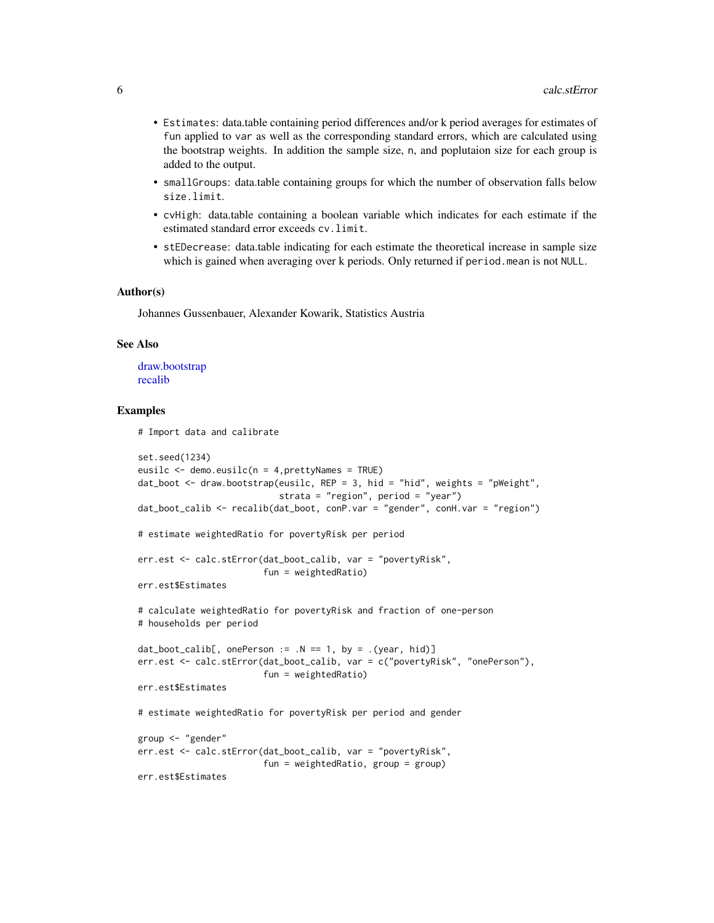- <span id="page-5-0"></span>• Estimates: data.table containing period differences and/or k period averages for estimates of fun applied to var as well as the corresponding standard errors, which are calculated using the bootstrap weights. In addition the sample size, n, and poplutaion size for each group is added to the output.
- smallGroups: data.table containing groups for which the number of observation falls below size.limit.
- cvHigh: data.table containing a boolean variable which indicates for each estimate if the estimated standard error exceeds cv.limit.
- stEDecrease: data.table indicating for each estimate the theoretical increase in sample size which is gained when averaging over k periods. Only returned if period.mean is not NULL.

#### Author(s)

Johannes Gussenbauer, Alexander Kowarik, Statistics Austria

#### See Also

[draw.bootstrap](#page-11-1) [recalib](#page-25-1)

#### Examples

# Import data and calibrate

```
set.seed(1234)
eusilc <- demo.eusilc(n = 4,prettyNames = TRUE)
dat_boot \leq draw.bootstrap(eusilc, REP = 3, hid = "hid", weights = "pWeight",
                           strata = "region", period = "year")
dat_boot_calib <- recalib(dat_boot, conP.var = "gender", conH.var = "region")
# estimate weightedRatio for povertyRisk per period
err.est <- calc.stError(dat_boot_calib, var = "povertyRisk",
                        fun = weightedRatio)
err.est$Estimates
# calculate weightedRatio for povertyRisk and fraction of one-person
# households per period
dat\_boot\_calib[, onePerson := .N == 1, by = .(year, hid)]err.est <- calc.stError(dat_boot_calib, var = c("povertyRisk", "onePerson"),
                        fun = weightedRatio)
err.est$Estimates
# estimate weightedRatio for povertyRisk per period and gender
group <- "gender"
err.est <- calc.stError(dat_boot_calib, var = "povertyRisk",
                        fun = weightedRatio, group = group)
err.est$Estimates
```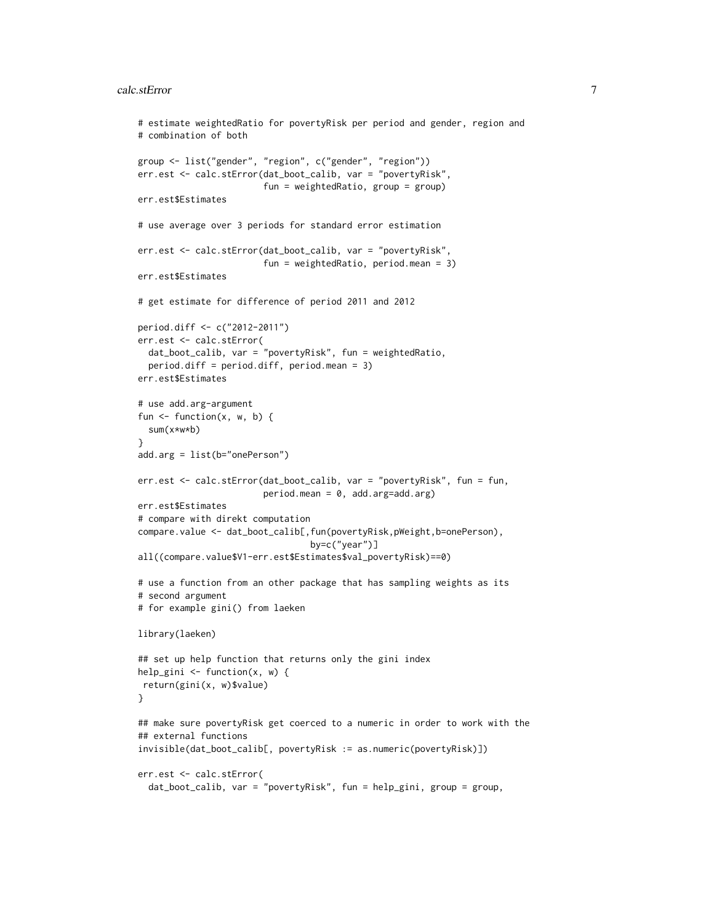#### calc.stError 7

```
# estimate weightedRatio for povertyRisk per period and gender, region and
# combination of both
group <- list("gender", "region", c("gender", "region"))
err.est <- calc.stError(dat_boot_calib, var = "povertyRisk",
                        fun = weightedRatio, group = group)
err.est$Estimates
# use average over 3 periods for standard error estimation
err.est <- calc.stError(dat_boot_calib, var = "povertyRisk",
                        fun = weightedRatio, period.mean = 3)
err.est$Estimates
# get estimate for difference of period 2011 and 2012
period.diff <- c("2012-2011")
err.est <- calc.stError(
  dat_boot_calib, var = "povertyRisk", fun = weightedRatio,
  period.diff = period.diff, period.mean = 3)
err.est$Estimates
# use add.arg-argument
fun \leq function(x, w, b) {
  sum(x*w*b)
}
add.arg = list(b="onePerson")
err.est <- calc.stError(dat_boot_calib, var = "povertyRisk", fun = fun,
                        period.mean = 0, add.arg=add.arg)
err.est$Estimates
# compare with direkt computation
compare.value <- dat_boot_calib[,fun(povertyRisk,pWeight,b=onePerson),
                                 by=c("year")]
all((compare.value$V1-err.est$Estimates$val_povertyRisk)==0)
# use a function from an other package that has sampling weights as its
# second argument
# for example gini() from laeken
library(laeken)
## set up help function that returns only the gini index
help_gini <- function(x, w) {
return(gini(x, w)$value)
}
## make sure povertyRisk get coerced to a numeric in order to work with the
## external functions
invisible(dat_boot_calib[, povertyRisk := as.numeric(povertyRisk)])
err.est <- calc.stError(
  dat_boot_calib, var = "povertyRisk", fun = help_gini, group = group,
```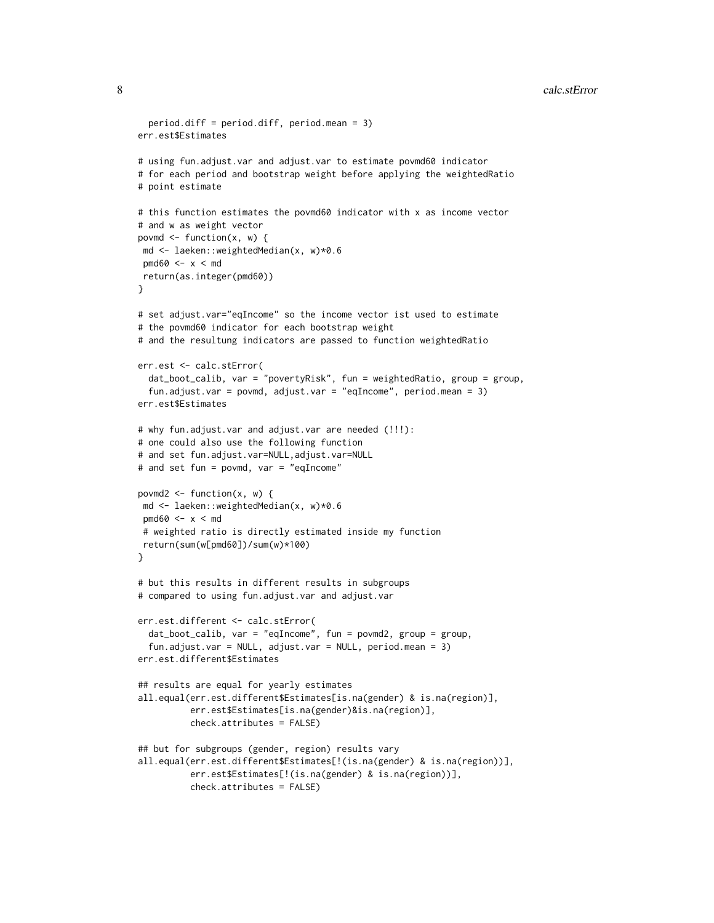```
8 calc.stError contract to the contract of the contract of the contract of the contract of the contract of the contract of the contract of the contract of the contract of the contract of the contract of the contract of the
```

```
period.diff = period.diff, period.mean = 3)
err.est$Estimates
# using fun.adjust.var and adjust.var to estimate povmd60 indicator
# for each period and bootstrap weight before applying the weightedRatio
# point estimate
# this function estimates the povmd60 indicator with x as income vector
# and w as weight vector
povmd \leq function(x, w) {
md <- laeken::weightedMedian(x, w)*0.6
pmd60 \leq x \leq mdreturn(as.integer(pmd60))
}
# set adjust.var="eqIncome" so the income vector ist used to estimate
# the povmd60 indicator for each bootstrap weight
# and the resultung indicators are passed to function weightedRatio
err.est <- calc.stError(
 dat_boot_calib, var = "povertyRisk", fun = weightedRatio, group = group,
 fun.adjust.var = povmd, adjust.var = "eqIncome", period.mean = 3)
err.est$Estimates
# why fun.adjust.var and adjust.var are needed (!!!):
# one could also use the following function
# and set fun.adjust.var=NULL,adjust.var=NULL
# and set fun = povmd, var = "eqIncome"
povmd2 \leq function(x, w) {
md <- laeken::weightedMedian(x, w)*0.6
pmd60 \leq x \leq md# weighted ratio is directly estimated inside my function
return(sum(w[pmd60])/sum(w)*100)
}
# but this results in different results in subgroups
# compared to using fun.adjust.var and adjust.var
err.est.different <- calc.stError(
 dat_boot_calib, var = "eqIncome", fun = povmd2, group = group,
  fun.adjust.var = NULL, adjust.var = NULL, period.mean = 3)
err.est.different$Estimates
## results are equal for yearly estimates
all.equal(err.est.different$Estimates[is.na(gender) & is.na(region)],
          err.est$Estimates[is.na(gender)&is.na(region)],
          check.attributes = FALSE)
## but for subgroups (gender, region) results vary
all.equal(err.est.different$Estimates[!(is.na(gender) & is.na(region))],
          err.est$Estimates[!(is.na(gender) & is.na(region))],
          check.attributes = FALSE)
```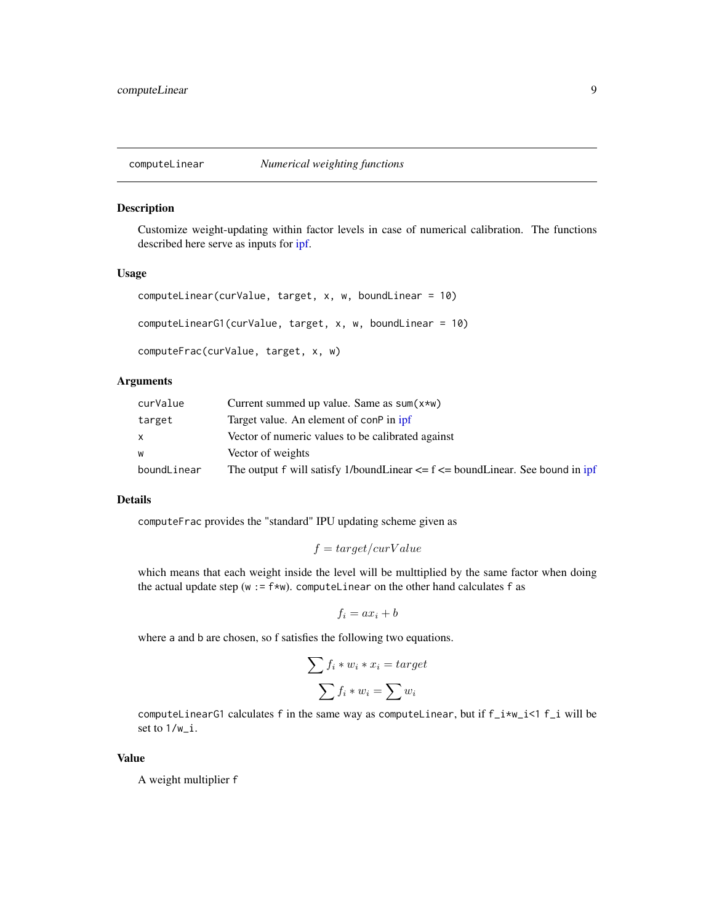<span id="page-8-1"></span><span id="page-8-0"></span>

Customize weight-updating within factor levels in case of numerical calibration. The functions described here serve as inputs for [ipf.](#page-16-1)

#### Usage

```
computeLinear(curValue, target, x, w, boundLinear = 10)
computeLinearG1(curValue, target, x, w, boundLinear = 10)
computeFrac(curValue, target, x, w)
```
#### Arguments

| curValue    | Current summed up value. Same as $sum(x*w)$                                         |
|-------------|-------------------------------------------------------------------------------------|
| target      | Target value. An element of conP in ipf                                             |
| X.          | Vector of numeric values to be calibrated against                                   |
| w           | Vector of weights                                                                   |
| boundLinear | The output f will satisfy 1/boundLinear $\leq f \leq$ boundLinear. See bound in ipf |

#### Details

computeFrac provides the "standard" IPU updating scheme given as

$$
f = target/curValue
$$

which means that each weight inside the level will be multtiplied by the same factor when doing the actual update step (w :=  $f*w$ ). computeLinear on the other hand calculates f as

$$
f_i = ax_i + b
$$

where a and b are chosen, so f satisfies the following two equations.

$$
\sum f_i * w_i * x_i = target
$$

$$
\sum f_i * w_i = \sum w_i
$$

computeLinearG1 calculates f in the same way as computeLinear, but if  $f_i xw_i < 1$  f i will be set to 1/w\_i.

#### Value

A weight multiplier f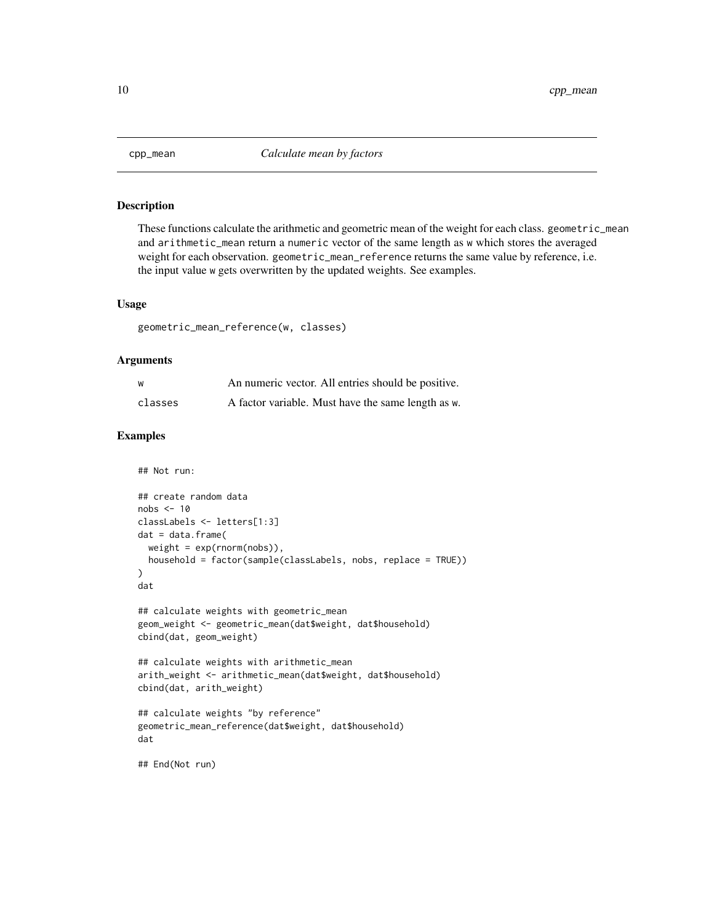<span id="page-9-0"></span>

These functions calculate the arithmetic and geometric mean of the weight for each class. geometric\_mean and arithmetic\_mean return a numeric vector of the same length as w which stores the averaged weight for each observation. geometric\_mean\_reference returns the same value by reference, i.e. the input value w gets overwritten by the updated weights. See examples.

#### Usage

geometric\_mean\_reference(w, classes)

#### Arguments

| W       | An numeric vector. All entries should be positive. |
|---------|----------------------------------------------------|
| classes | A factor variable. Must have the same length as w. |

```
## Not run:
## create random data
nobs \leq -10classLabels <- letters[1:3]
dat = data.frame(weight = exp(rnorm(nobs)),
  household = factor(sample(classLabels, nobs, replace = TRUE))
)
dat
## calculate weights with geometric_mean
geom_weight <- geometric_mean(dat$weight, dat$household)
cbind(dat, geom_weight)
## calculate weights with arithmetic_mean
arith_weight <- arithmetic_mean(dat$weight, dat$household)
cbind(dat, arith_weight)
## calculate weights "by reference"
geometric_mean_reference(dat$weight, dat$household)
dat
```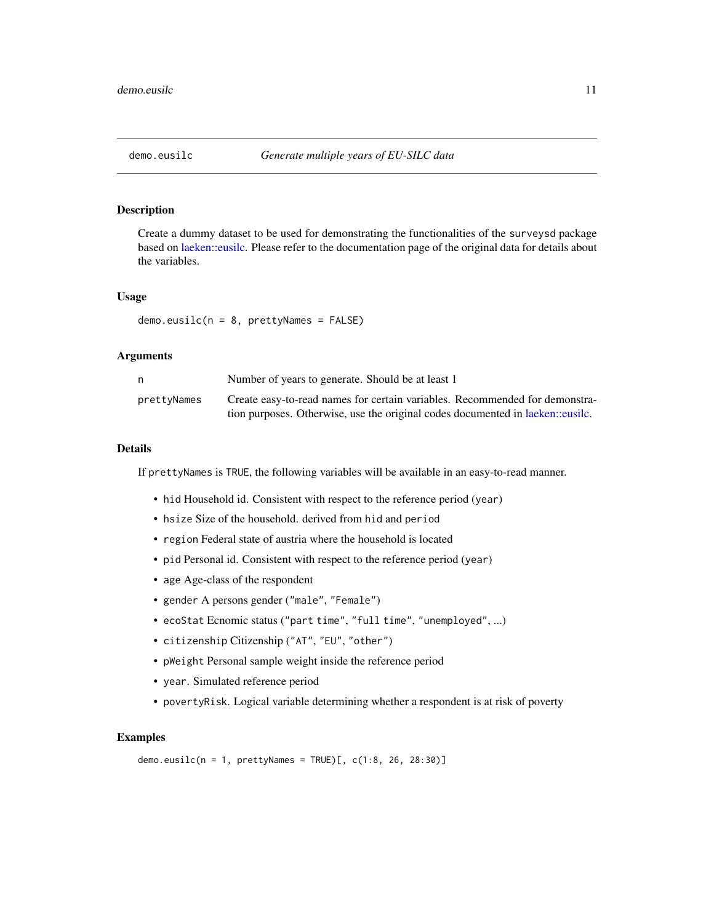<span id="page-10-0"></span>Create a dummy dataset to be used for demonstrating the functionalities of the surveysd package based on [laeken::eusilc.](#page-0-0) Please refer to the documentation page of the original data for details about the variables.

#### Usage

 $demo.eusilc(n = 8, prettyNames = FALSE)$ 

#### **Arguments**

| n           | Number of years to generate. Should be at least 1                              |
|-------------|--------------------------------------------------------------------------------|
| prettyNames | Create easy-to-read names for certain variables. Recommended for demonstra-    |
|             | tion purposes. Otherwise, use the original codes documented in laeken: eusile. |

#### Details

If prettyNames is TRUE, the following variables will be available in an easy-to-read manner.

- hid Household id. Consistent with respect to the reference period (year)
- hsize Size of the household. derived from hid and period
- region Federal state of austria where the household is located
- pid Personal id. Consistent with respect to the reference period (year)
- age Age-class of the respondent
- gender A persons gender ("male", "Female")
- ecoStat Ecnomic status ("part time", "full time", "unemployed", ...)
- citizenship Citizenship ("AT", "EU", "other")
- pWeight Personal sample weight inside the reference period
- year. Simulated reference period
- povertyRisk. Logical variable determining whether a respondent is at risk of poverty

#### Examples

demo.eusilc( $n = 1$ , prettyNames = TRUE)[, c(1:8, 26, 28:30)]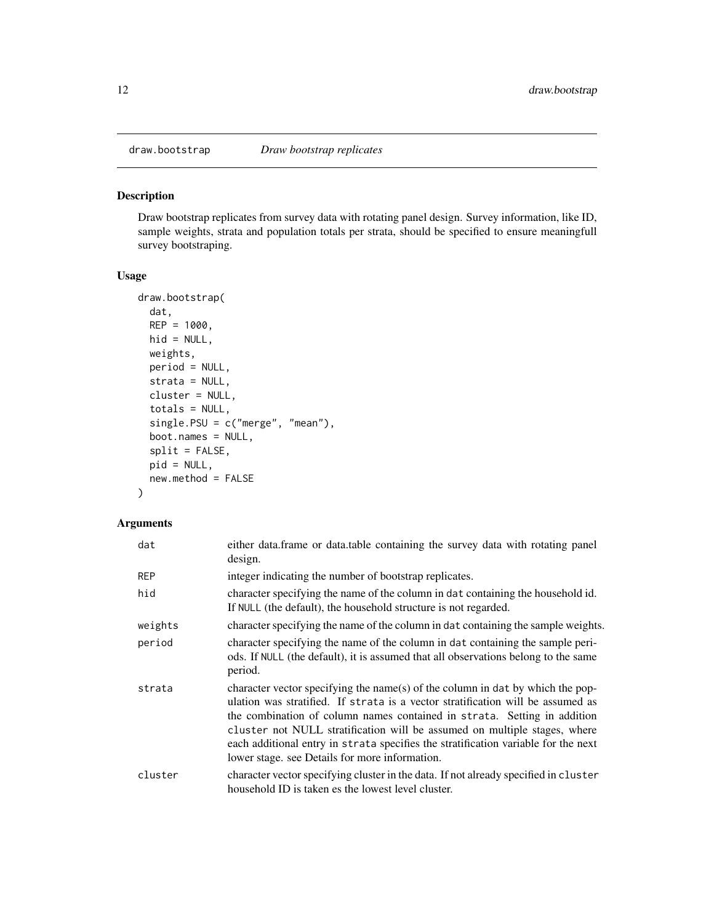<span id="page-11-1"></span><span id="page-11-0"></span>

Draw bootstrap replicates from survey data with rotating panel design. Survey information, like ID, sample weights, strata and population totals per strata, should be specified to ensure meaningfull survey bootstraping.

#### Usage

```
draw.bootstrap(
  dat,
 REP = 1000,hid = NULL,weights,
 period = NULL,
  strata = NULL,
  cluster = NULL,
  totals = NULL,single.PSU = c("merge", "mean"),
  boot.names = NULL,
  split = FALSE,
 pid = NULL,
  new.method = FALSE
)
```
#### Arguments

| dat        | either data.frame or data.table containing the survey data with rotating panel<br>design.                                                                                                                                                                                                                                                                                                                                                                          |
|------------|--------------------------------------------------------------------------------------------------------------------------------------------------------------------------------------------------------------------------------------------------------------------------------------------------------------------------------------------------------------------------------------------------------------------------------------------------------------------|
| <b>REP</b> | integer indicating the number of bootstrap replicates.                                                                                                                                                                                                                                                                                                                                                                                                             |
| hid        | character specifying the name of the column in dat containing the household id.<br>If NULL (the default), the household structure is not regarded.                                                                                                                                                                                                                                                                                                                 |
| weights    | character specifying the name of the column in dat containing the sample weights.                                                                                                                                                                                                                                                                                                                                                                                  |
| period     | character specifying the name of the column in dat containing the sample peri-<br>ods. If NULL (the default), it is assumed that all observations belong to the same<br>period.                                                                                                                                                                                                                                                                                    |
| strata     | character vector specifying the name(s) of the column in dat by which the pop-<br>ulation was stratified. If strata is a vector stratification will be assumed as<br>the combination of column names contained in strata. Setting in addition<br>cluster not NULL stratification will be assumed on multiple stages, where<br>each additional entry in strata specifies the stratification variable for the next<br>lower stage. see Details for more information. |
| cluster    | character vector specifying cluster in the data. If not already specified in cluster<br>household ID is taken es the lowest level cluster.                                                                                                                                                                                                                                                                                                                         |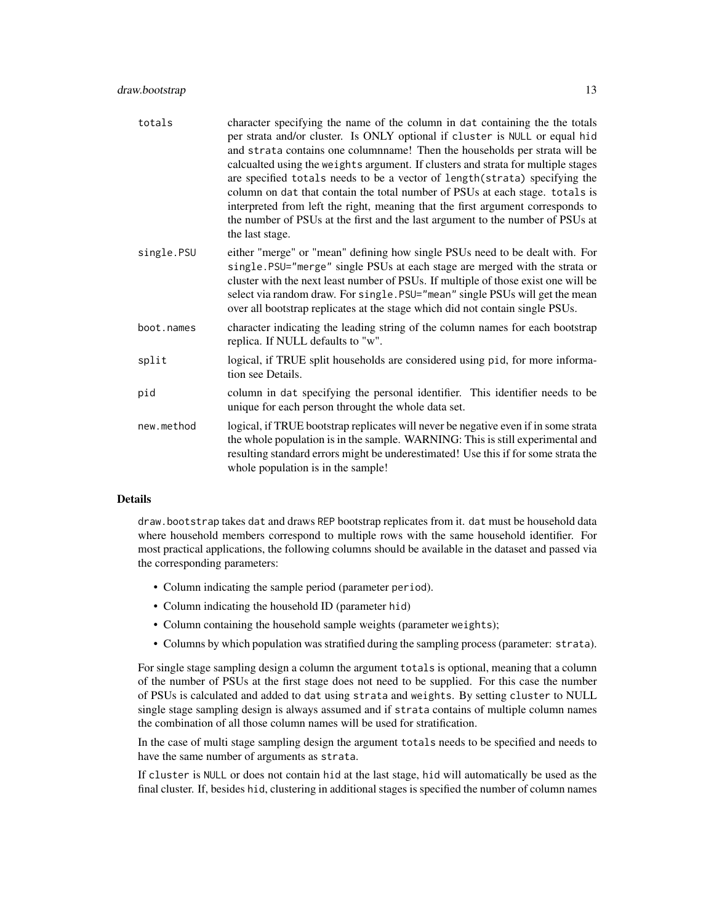| totals     | character specifying the name of the column in dat containing the the totals<br>per strata and/or cluster. Is ONLY optional if cluster is NULL or equal hid<br>and strata contains one columnname! Then the households per strata will be<br>calcualted using the weights argument. If clusters and strata for multiple stages<br>are specified totals needs to be a vector of length (strata) specifying the<br>column on dat that contain the total number of PSUs at each stage. totals is<br>interpreted from left the right, meaning that the first argument corresponds to<br>the number of PSUs at the first and the last argument to the number of PSUs at<br>the last stage. |
|------------|---------------------------------------------------------------------------------------------------------------------------------------------------------------------------------------------------------------------------------------------------------------------------------------------------------------------------------------------------------------------------------------------------------------------------------------------------------------------------------------------------------------------------------------------------------------------------------------------------------------------------------------------------------------------------------------|
| single.PSU | either "merge" or "mean" defining how single PSUs need to be dealt with. For<br>single.PSU="merge" single PSUs at each stage are merged with the strata or<br>cluster with the next least number of PSUs. If multiple of those exist one will be<br>select via random draw. For single. PSU="mean" single PSUs will get the mean<br>over all bootstrap replicates at the stage which did not contain single PSUs.                                                                                                                                                                                                                                                                     |
| boot.names | character indicating the leading string of the column names for each bootstrap<br>replica. If NULL defaults to "w".                                                                                                                                                                                                                                                                                                                                                                                                                                                                                                                                                                   |
| split      | logical, if TRUE split households are considered using pid, for more informa-<br>tion see Details.                                                                                                                                                                                                                                                                                                                                                                                                                                                                                                                                                                                    |
| pid        | column in dat specifying the personal identifier. This identifier needs to be<br>unique for each person throught the whole data set.                                                                                                                                                                                                                                                                                                                                                                                                                                                                                                                                                  |
| new.method | logical, if TRUE bootstrap replicates will never be negative even if in some strata<br>the whole population is in the sample. WARNING: This is still experimental and<br>resulting standard errors might be underestimated! Use this if for some strata the<br>whole population is in the sample!                                                                                                                                                                                                                                                                                                                                                                                     |

#### Details

draw.bootstrap takes dat and draws REP bootstrap replicates from it. dat must be household data where household members correspond to multiple rows with the same household identifier. For most practical applications, the following columns should be available in the dataset and passed via the corresponding parameters:

- Column indicating the sample period (parameter period).
- Column indicating the household ID (parameter hid)
- Column containing the household sample weights (parameter weights);
- Columns by which population was stratified during the sampling process (parameter: strata).

For single stage sampling design a column the argument totals is optional, meaning that a column of the number of PSUs at the first stage does not need to be supplied. For this case the number of PSUs is calculated and added to dat using strata and weights. By setting cluster to NULL single stage sampling design is always assumed and if strata contains of multiple column names the combination of all those column names will be used for stratification.

In the case of multi stage sampling design the argument totals needs to be specified and needs to have the same number of arguments as strata.

If cluster is NULL or does not contain hid at the last stage, hid will automatically be used as the final cluster. If, besides hid, clustering in additional stages is specified the number of column names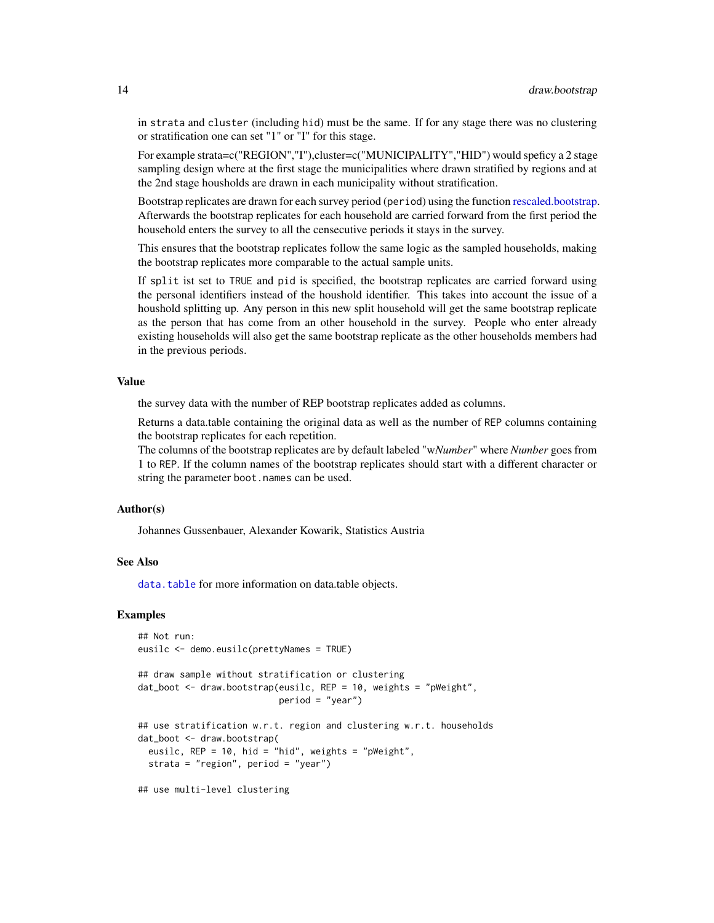in strata and cluster (including hid) must be the same. If for any stage there was no clustering or stratification one can set "1" or "I" for this stage.

For example strata=c("REGION","I"),cluster=c("MUNICIPALITY","HID") would speficy a 2 stage sampling design where at the first stage the municipalities where drawn stratified by regions and at the 2nd stage housholds are drawn in each municipality without stratification.

Bootstrap replicates are drawn for each survey period (period) using the function [rescaled.bootstrap.](#page-27-1) Afterwards the bootstrap replicates for each household are carried forward from the first period the household enters the survey to all the censecutive periods it stays in the survey.

This ensures that the bootstrap replicates follow the same logic as the sampled households, making the bootstrap replicates more comparable to the actual sample units.

If split ist set to TRUE and pid is specified, the bootstrap replicates are carried forward using the personal identifiers instead of the houshold identifier. This takes into account the issue of a houshold splitting up. Any person in this new split household will get the same bootstrap replicate as the person that has come from an other household in the survey. People who enter already existing households will also get the same bootstrap replicate as the other households members had in the previous periods.

#### Value

the survey data with the number of REP bootstrap replicates added as columns.

Returns a data.table containing the original data as well as the number of REP columns containing the bootstrap replicates for each repetition.

The columns of the bootstrap replicates are by default labeled "w*Number*" where *Number* goes from 1 to REP. If the column names of the bootstrap replicates should start with a different character or string the parameter boot.names can be used.

#### Author(s)

Johannes Gussenbauer, Alexander Kowarik, Statistics Austria

#### See Also

[data.table](#page-0-0) for more information on data.table objects.

#### Examples

```
## Not run:
eusilc <- demo.eusilc(prettyNames = TRUE)
## draw sample without stratification or clustering
dat_boot <- draw.bootstrap(eusilc, REP = 10, weights = "pWeight",
                           period = "year")
## use stratification w.r.t. region and clustering w.r.t. households
dat_boot <- draw.bootstrap(
 eusilc, REP = 10, hid = "hid", weights = "pWeight",
 strata = "region", period = "year")
```
## use multi-level clustering

<span id="page-13-0"></span>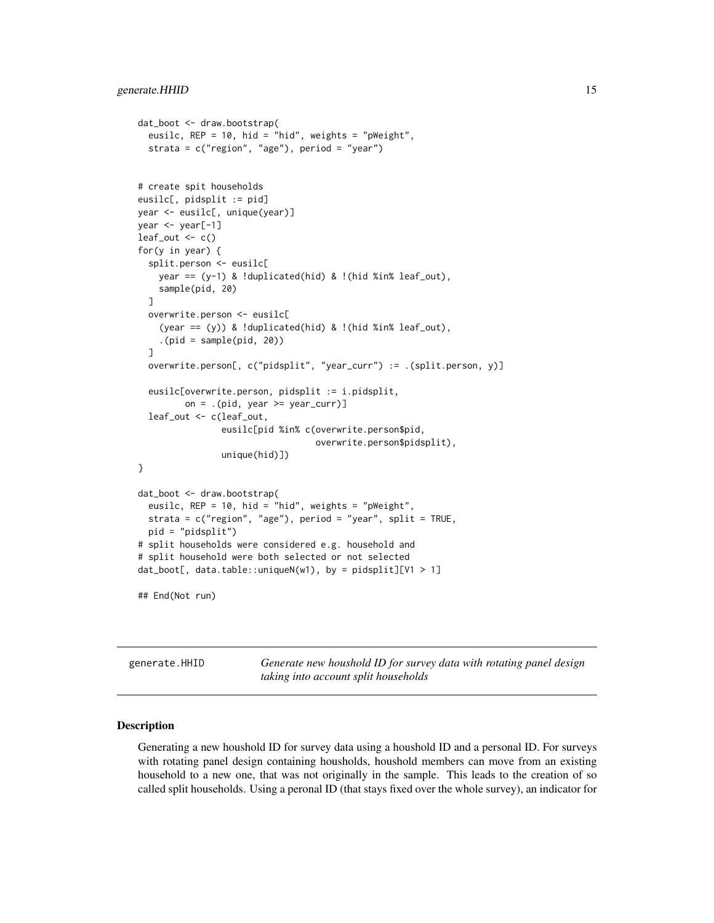```
dat_boot <- draw.bootstrap(
  eusilc, REP = 10, hid = "hid", weights = "pWeight",
  strata = c("region", "age"), period = "year")
# create spit households
eusilc[, pidsplit := pid]
year <- eusilc[, unique(year)]
year <- year[-1]
leaf\_out < - c()for(y in year) {
  split.person <- eusilc[
    year == (y-1) & !duplicated(hid) & !(hid %in% leaf_out),
    sample(pid, 20)
  ]
  overwrite.person <- eusilc[
    (year == (y)) & !duplicated(hid) & !(hid %in% leaf_out),
    .(pid = sample(pid, 20))
  ]
  overwrite.person[, c("pidsplit", "year_curr") := .(split.person, y)]
  eusilc[overwrite.person, pidsplit := i.pidsplit,
         on = .(pid, year >= year_curr)]
  leaf_out <- c(leaf_out,
                eusilc[pid %in% c(overwrite.person$pid,
                                  overwrite.person$pidsplit),
                unique(hid)])
}
dat_boot <- draw.bootstrap(
  eusilc, REP = 10, hid = "hid", weights = "pWeight",
  strata = c("region", "age"), period = "year", split = TRUE,
  pid = "pidsplit")
# split households were considered e.g. household and
# split household were both selected or not selected
dat_boot[, data.table::uniqueN(w1), by = pidsplit][V1 > 1]
## End(Not run)
```
generate.HHID *Generate new houshold ID for survey data with rotating panel design taking into account split households*

#### Description

Generating a new houshold ID for survey data using a houshold ID and a personal ID. For surveys with rotating panel design containing housholds, houshold members can move from an existing household to a new one, that was not originally in the sample. This leads to the creation of so called split households. Using a peronal ID (that stays fixed over the whole survey), an indicator for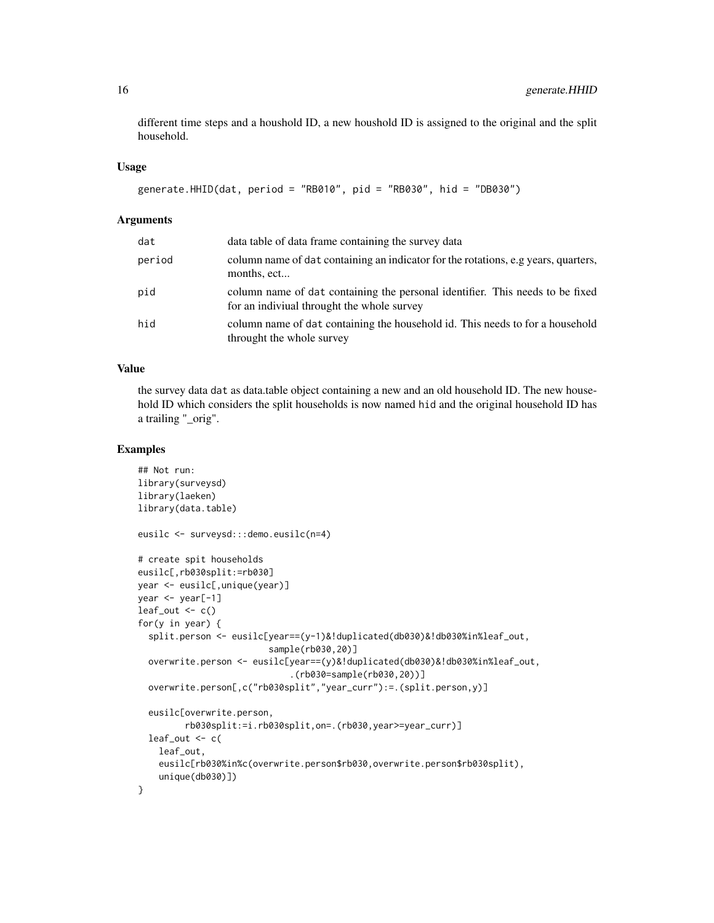different time steps and a houshold ID, a new houshold ID is assigned to the original and the split household.

#### Usage

```
generate.HHID(dat, period = "RB010", pid = "RB030", hid = "DB030")
```
#### Arguments

| dat    | data table of data frame containing the survey data                                                                         |
|--------|-----------------------------------------------------------------------------------------------------------------------------|
| period | column name of dat containing an indicator for the rotations, e.g years, quarters,<br>months, ect                           |
| pid    | column name of dat containing the personal identifier. This needs to be fixed<br>for an indiviual throught the whole survey |
| hid    | column name of dat containing the household id. This needs to for a household<br>throught the whole survey                  |

#### Value

the survey data dat as data.table object containing a new and an old household ID. The new household ID which considers the split households is now named hid and the original household ID has a trailing "\_orig".

```
## Not run:
library(surveysd)
library(laeken)
library(data.table)
eusilc <- surveysd:::demo.eusilc(n=4)
# create spit households
eusilc[,rb030split:=rb030]
year <- eusilc[,unique(year)]
year <- year[-1]
leaf\_out < -c()for(y in year) {
  split.person <- eusilc[year==(y-1)&!duplicated(db030)&!db030%in%leaf_out,
                         sample(rb030,20)]
  overwrite.person <- eusilc[year==(y)&!duplicated(db030)&!db030%in%leaf_out,
                             .(rb030=sample(rb030,20))]
  overwrite.person[,c("rb030split","year_curr"):=.(split.person,y)]
  eusilc[overwrite.person,
         rb030split:=i.rb030split,on=.(rb030,year>=year_curr)]
  leaf\_out < -c(
    leaf_out,
    eusilc[rb030%in%c(overwrite.person$rb030,overwrite.person$rb030split),
    unique(db030)])
}
```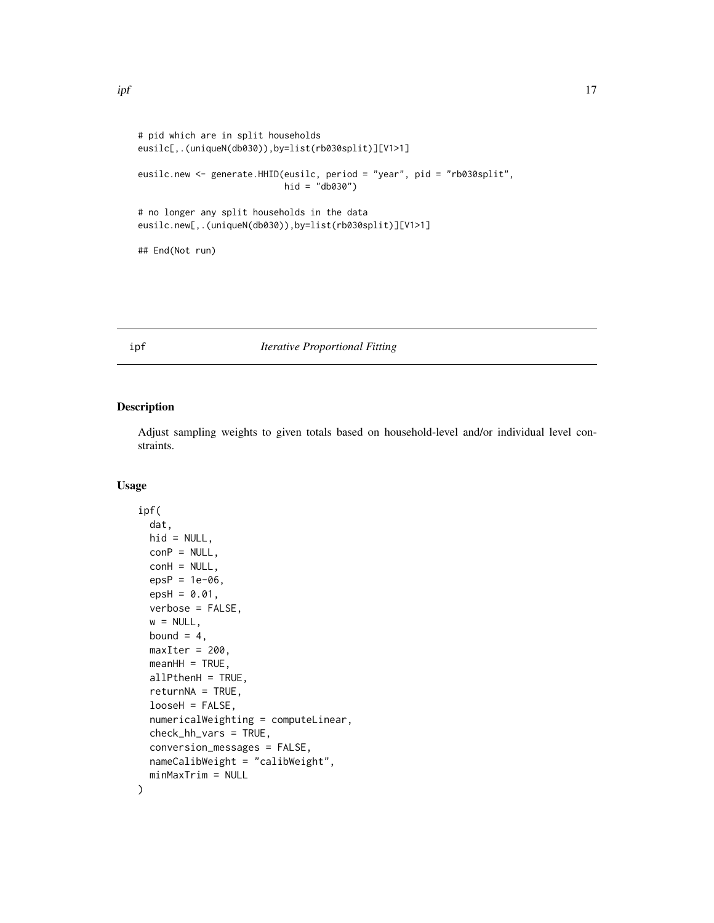```
# pid which are in split households
eusilc[,.(uniqueN(db030)),by=list(rb030split)][V1>1]
eusilc.new <- generate.HHID(eusilc, period = "year", pid = "rb030split",
                            hid = "db030")
# no longer any split households in the data
eusilc.new[,.(uniqueN(db030)),by=list(rb030split)][V1>1]
```
## End(Not run)

#### <span id="page-16-1"></span>ipf *Iterative Proportional Fitting*

#### Description

Adjust sampling weights to given totals based on household-level and/or individual level constraints.

#### Usage

```
ipf(
 dat,
 hid = NULL,conP = NULL,conH = NULL,epsP = 1e-06,
 epsH = 0.01,
 verbose = FALSE,
 w = NULL,bound = 4,
 maxIter = 200,meanHH = TRUE,allPthenH = TRUE,
 return NA = TRUE,looseH = FALSE,
 numericalWeighting = computeLinear,
 check_hh_vars = TRUE,
 conversion_messages = FALSE,
 nameCalibWeight = "calibWeight",
 minMaxTrim = NULL
)
```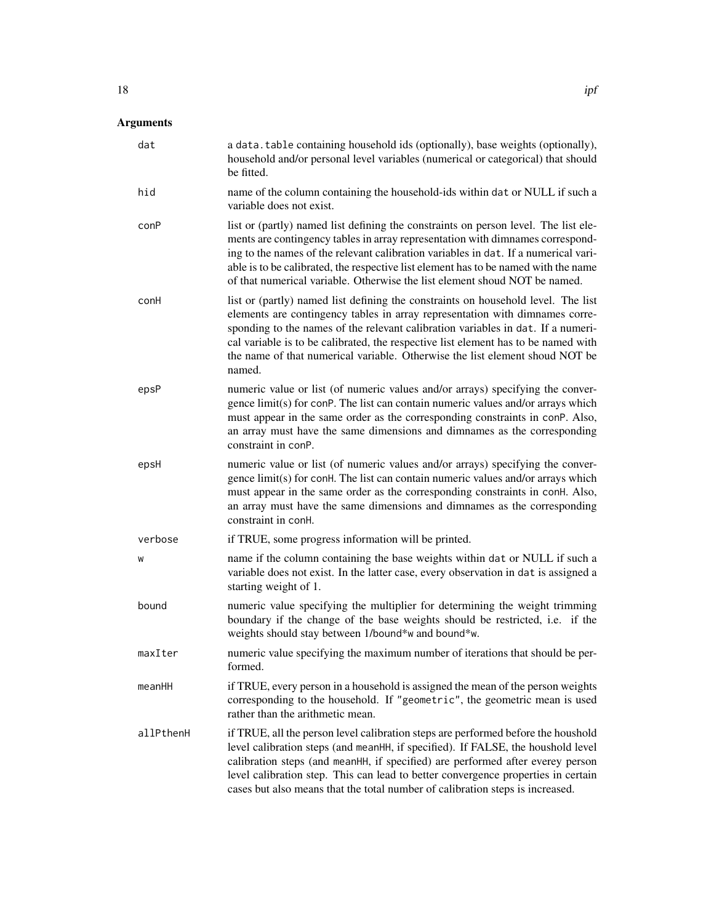# Arguments

| dat       | a data. table containing household ids (optionally), base weights (optionally),<br>household and/or personal level variables (numerical or categorical) that should<br>be fitted.                                                                                                                                                                                                                                                     |
|-----------|---------------------------------------------------------------------------------------------------------------------------------------------------------------------------------------------------------------------------------------------------------------------------------------------------------------------------------------------------------------------------------------------------------------------------------------|
| hid       | name of the column containing the household-ids within dat or NULL if such a<br>variable does not exist.                                                                                                                                                                                                                                                                                                                              |
| conP      | list or (partly) named list defining the constraints on person level. The list ele-<br>ments are contingency tables in array representation with dimnames correspond-<br>ing to the names of the relevant calibration variables in dat. If a numerical vari-<br>able is to be calibrated, the respective list element has to be named with the name<br>of that numerical variable. Otherwise the list element shoud NOT be named.     |
| conH      | list or (partly) named list defining the constraints on household level. The list<br>elements are contingency tables in array representation with dimnames corre-<br>sponding to the names of the relevant calibration variables in dat. If a numeri-<br>cal variable is to be calibrated, the respective list element has to be named with<br>the name of that numerical variable. Otherwise the list element shoud NOT be<br>named. |
| epsP      | numeric value or list (of numeric values and/or arrays) specifying the conver-<br>gence limit(s) for conP. The list can contain numeric values and/or arrays which<br>must appear in the same order as the corresponding constraints in conP. Also,<br>an array must have the same dimensions and dimnames as the corresponding<br>constraint in conP.                                                                                |
| epsH      | numeric value or list (of numeric values and/or arrays) specifying the conver-<br>gence limit(s) for conH. The list can contain numeric values and/or arrays which<br>must appear in the same order as the corresponding constraints in conH. Also,<br>an array must have the same dimensions and dimnames as the corresponding<br>constraint in con <sub>H</sub> .                                                                   |
| verbose   | if TRUE, some progress information will be printed.                                                                                                                                                                                                                                                                                                                                                                                   |
| W         | name if the column containing the base weights within dat or NULL if such a<br>variable does not exist. In the latter case, every observation in dat is assigned a<br>starting weight of 1.                                                                                                                                                                                                                                           |
| bound     | numeric value specifying the multiplier for determining the weight trimming<br>boundary if the change of the base weights should be restricted, i.e. if the<br>weights should stay between 1/bound*w and bound*w.                                                                                                                                                                                                                     |
| maxIter   | numeric value specifying the maximum number of iterations that should be per-<br>formed.                                                                                                                                                                                                                                                                                                                                              |
| meanHH    | if TRUE, every person in a household is assigned the mean of the person weights<br>corresponding to the household. If "geometric", the geometric mean is used<br>rather than the arithmetic mean.                                                                                                                                                                                                                                     |
| allPthenH | if TRUE, all the person level calibration steps are performed before the houshold<br>level calibration steps (and meanHH, if specified). If FALSE, the houshold level<br>calibration steps (and meanHH, if specified) are performed after everey person<br>level calibration step. This can lead to better convergence properties in certain<br>cases but also means that the total number of calibration steps is increased.         |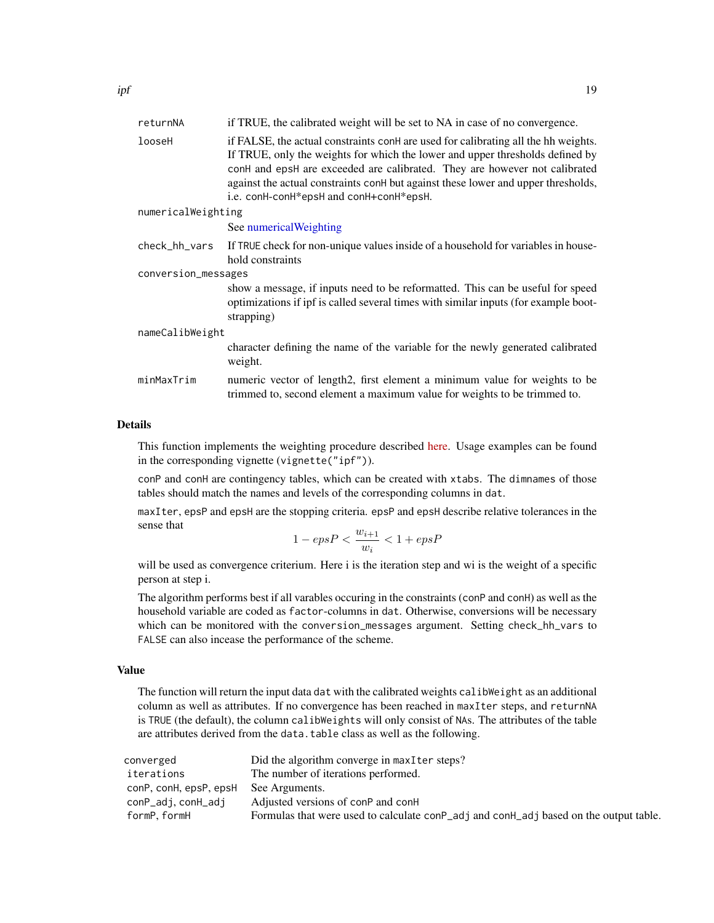<span id="page-18-0"></span>

| returnNA            | if TRUE, the calibrated weight will be set to NA in case of no convergence.                                                                                                                                                                                                                                                                                                                   |  |
|---------------------|-----------------------------------------------------------------------------------------------------------------------------------------------------------------------------------------------------------------------------------------------------------------------------------------------------------------------------------------------------------------------------------------------|--|
| looseH              | if FALSE, the actual constraints con <sup>H</sup> are used for calibrating all the hh weights.<br>If TRUE, only the weights for which the lower and upper thresholds defined by<br>conH and epsH are exceeded are calibrated. They are however not calibrated<br>against the actual constraints conH but against these lower and upper thresholds,<br>i.e. conH-conH*epsH and conH+conH*epsH. |  |
| numericalWeighting  |                                                                                                                                                                                                                                                                                                                                                                                               |  |
|                     | See numerical Weighting                                                                                                                                                                                                                                                                                                                                                                       |  |
| check_hh_vars       | If TRUE check for non-unique values inside of a household for variables in house-<br>hold constraints                                                                                                                                                                                                                                                                                         |  |
| conversion_messages |                                                                                                                                                                                                                                                                                                                                                                                               |  |
|                     | show a message, if inputs need to be reformatted. This can be useful for speed<br>optimizations if ipf is called several times with similar inputs (for example boot-<br>strapping)                                                                                                                                                                                                           |  |
| nameCalibWeight     |                                                                                                                                                                                                                                                                                                                                                                                               |  |
|                     | character defining the name of the variable for the newly generated calibrated<br>weight.                                                                                                                                                                                                                                                                                                     |  |
| minMaxTrim          | numeric vector of length2, first element a minimum value for weights to be<br>trimmed to, second element a maximum value for weights to be trimmed to.                                                                                                                                                                                                                                        |  |

#### Details

This function implements the weighting procedure described [here.](https://doi.org/10.17713/ajs.v45i3.120) Usage examples can be found in the corresponding vignette (vignette("ipf")).

conP and conH are contingency tables, which can be created with xtabs. The dimnames of those tables should match the names and levels of the corresponding columns in dat.

maxIter, epsP and epsH are the stopping criteria. epsP and epsH describe relative tolerances in the sense that

$$
1 - epsP < \frac{w_{i+1}}{w_i} < 1 + epsP
$$

will be used as convergence criterium. Here i is the iteration step and wi is the weight of a specific person at step i.

The algorithm performs best if all varables occuring in the constraints (conP and conH) as well as the household variable are coded as factor-columns in dat. Otherwise, conversions will be necessary which can be monitored with the conversion\_messages argument. Setting check\_hh\_vars to FALSE can also incease the performance of the scheme.

#### Value

The function will return the input data dat with the calibrated weights calibWeight as an additional column as well as attributes. If no convergence has been reached in maxIter steps, and returnNA is TRUE (the default), the column calibWeights will only consist of NAs. The attributes of the table are attributes derived from the data.table class as well as the following.

| converged              | Did the algorithm converge in maxIter steps?                                          |
|------------------------|---------------------------------------------------------------------------------------|
| iterations             | The number of iterations performed.                                                   |
| conP, conH, epsP, epsH | See Arguments.                                                                        |
| conP_adj, conH_adj     | Adjusted versions of conP and conH                                                    |
| formP.formH            | Formulas that were used to calculate conP_adj and conH_adj based on the output table. |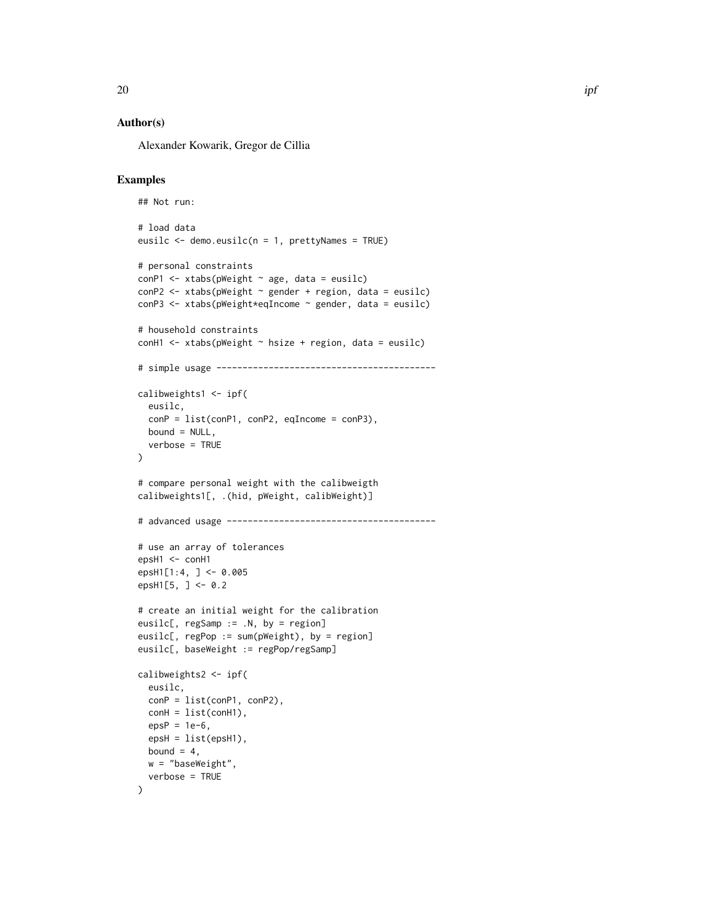#### Author(s)

Alexander Kowarik, Gregor de Cillia

```
## Not run:
# load data
eusilc <- demo.eusilc(n = 1, prettyNames = TRUE)
# personal constraints
conP1 \le xtabs(pWeight \sim age, data = eusilc)
conP2 \leq x \times (p \times (p \times p)) \leq g \times (p \times (p \times p)) \leq p \times (p \times (p \times p))conP3 <- xtabs(pWeight*eqIncome ~ gender, data = eusilc)
# household constraints
conH1 <- xtabs(pWeight \sim hsize + region, data = eusilc)
# simple usage ------------------------------------------
calibweights1 \le ipf(
  eusilc,
  conP = list(conP1, conP2, egIncome = conP3),
  bound = NULL,verbose = TRUE
\lambda# compare personal weight with the calibweigth
calibweights1[, .(hid, pWeight, calibWeight)]
# advanced usage ----------------------------------------
# use an array of tolerances
epsH1 < - \text{conH1}epsH1[1:4, ] <- 0.005
epsH1[5, ] \le 0.2# create an initial weight for the calibration
eusilc[, regSamp := .N, by = region]
eusilc[, regPop := sum(pWeight), by = region]
eusilc[, baseWeight := regPop/regSamp]
calibweights2 <- ipf(
  eusilc,
  conP = list(conP1, conP2),
  \text{conf} = \text{list}(\text{conf1}),epsP = 1e-6,
  epsH = list(epsH1),
  bound = 4,
  w = "baseWeight",
  verbose = TRUE
)
```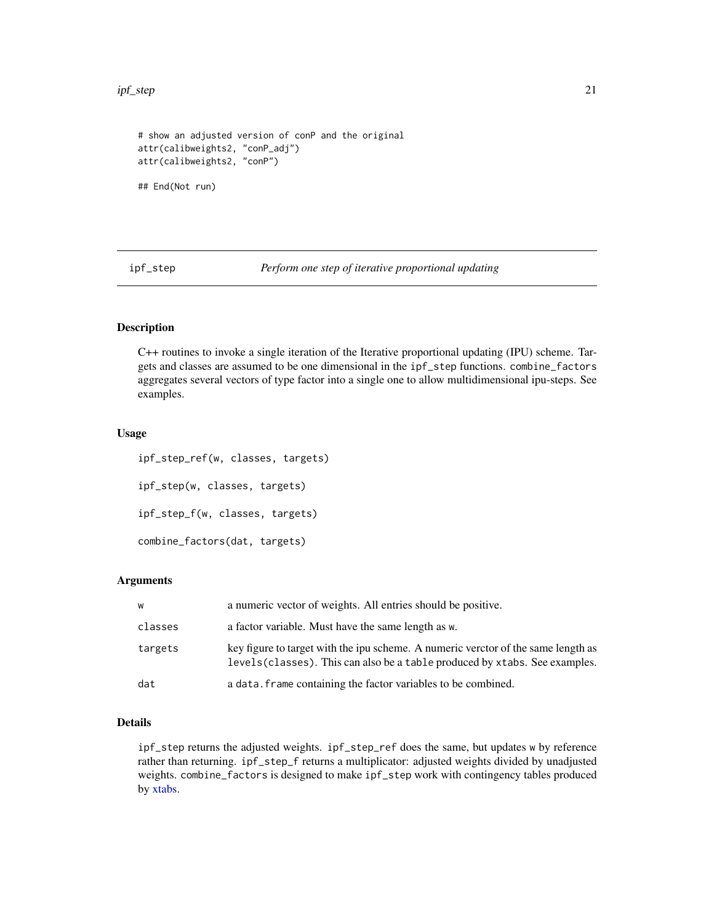<span id="page-20-0"></span>ipf\_step 21

```
# show an adjusted version of conP and the original
attr(calibweights2, "conP_adj")
attr(calibweights2, "conP")
```
## End(Not run)

ipf\_step *Perform one step of iterative proportional updating*

#### Description

C++ routines to invoke a single iteration of the Iterative proportional updating (IPU) scheme. Targets and classes are assumed to be one dimensional in the ipf\_step functions. combine\_factors aggregates several vectors of type factor into a single one to allow multidimensional ipu-steps. See examples.

#### Usage

ipf\_step\_ref(w, classes, targets) ipf\_step(w, classes, targets) ipf\_step\_f(w, classes, targets) combine\_factors(dat, targets)

#### **Arguments**

| w       | a numeric vector of weights. All entries should be positive.                                                                                                      |
|---------|-------------------------------------------------------------------------------------------------------------------------------------------------------------------|
| classes | a factor variable. Must have the same length as w.                                                                                                                |
| targets | key figure to target with the ipu scheme. A numeric verctor of the same length as<br>levels (classes). This can also be a table produced by x tabs. See examples. |
| dat     | a data. Frame containing the factor variables to be combined.                                                                                                     |

#### Details

ipf\_step returns the adjusted weights. ipf\_step\_ref does the same, but updates w by reference rather than returning. ipf\_step\_f returns a multiplicator: adjusted weights divided by unadjusted weights. combine\_factors is designed to make ipf\_step work with contingency tables produced by [xtabs.](#page-0-0)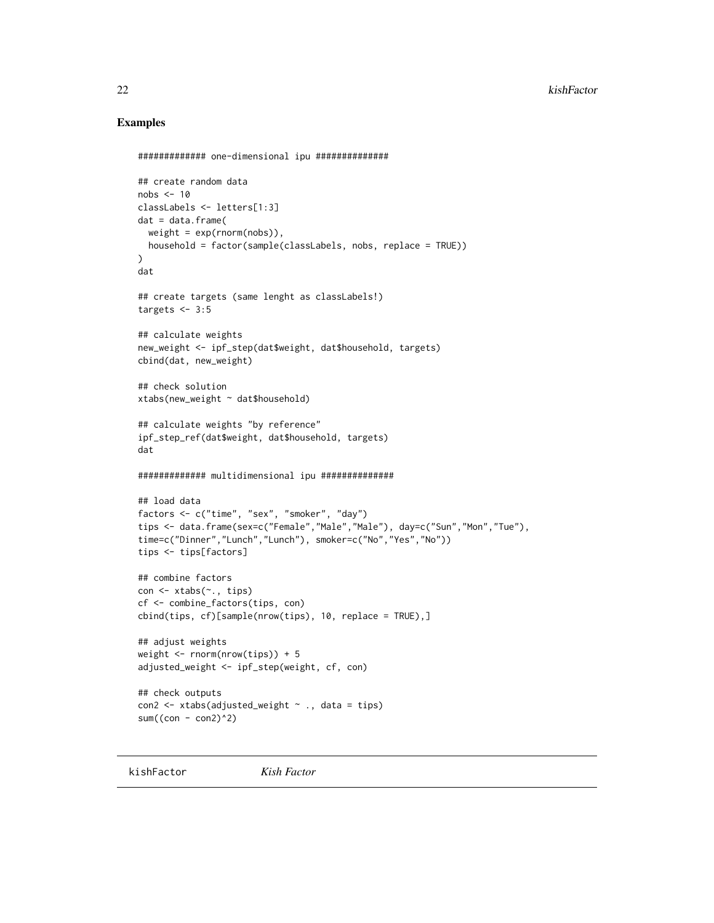#### Examples

```
############# one-dimensional ipu ##############
## create random data
nobs \leq -10classLabels <- letters[1:3]
dat = data.frame(
  weight = exp(rnorm(nobs)),
 household = factor(sample(classLabels, nobs, replace = TRUE))
)
dat
## create targets (same lenght as classLabels!)
targets <-3:5## calculate weights
new_weight <- ipf_step(dat$weight, dat$household, targets)
cbind(dat, new_weight)
## check solution
xtabs(new_weight ~ dat$household)
## calculate weights "by reference"
ipf_step_ref(dat$weight, dat$household, targets)
dat
############# multidimensional ipu ##############
## load data
factors <- c("time", "sex", "smoker", "day")
tips <- data.frame(sex=c("Female","Male","Male"), day=c("Sun","Mon","Tue"),
time=c("Dinner","Lunch","Lunch"), smoker=c("No","Yes","No"))
tips <- tips[factors]
## combine factors
con <- xtabs(~., tips)
cf <- combine_factors(tips, con)
cbind(tips, cf)[sample(nrow(tips), 10, replace = TRUE),]
## adjust weights
weight <- rnorm(nrow(tips)) + 5
adjusted_weight <- ipf_step(weight, cf, con)
## check outputs
con2 <- xtabs(adjusted_weight ~ ., data = tips)
sum(\text{(con - con2)^2})
```
kishFactor *Kish Factor*

<span id="page-21-0"></span>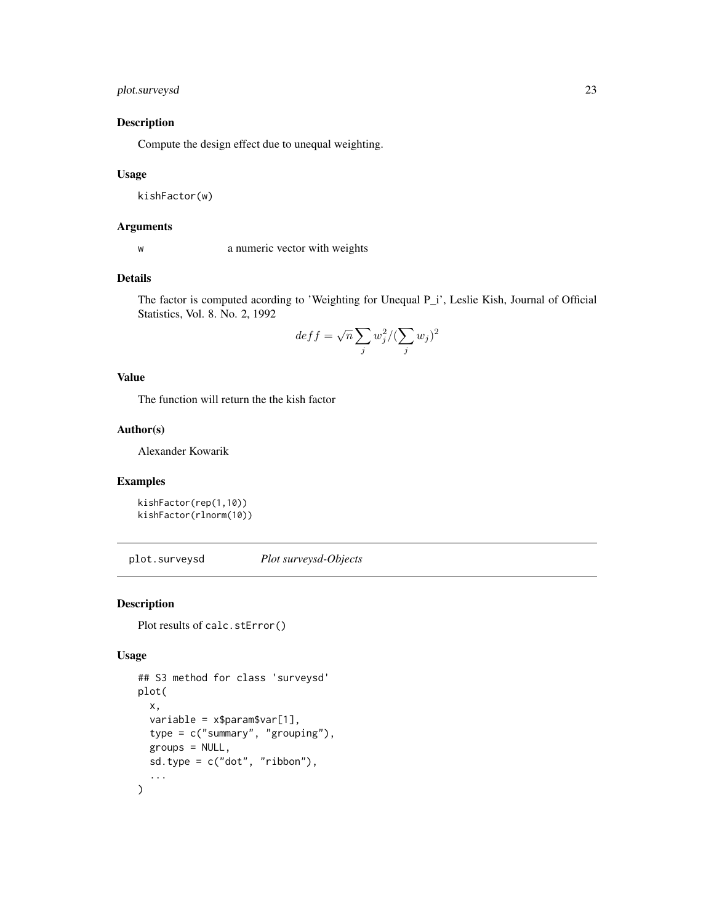#### <span id="page-22-0"></span>plot.surveysd 23

#### Description

Compute the design effect due to unequal weighting.

#### Usage

kishFactor(w)

#### Arguments

w a numeric vector with weights

#### Details

The factor is computed acording to 'Weighting for Unequal P\_i', Leslie Kish, Journal of Official Statistics, Vol. 8. No. 2, 1992

$$
deff = \sqrt{n} \sum_{j} w_j^2 / (\sum_{j} w_j)^2
$$

#### Value

The function will return the the kish factor

#### Author(s)

Alexander Kowarik

#### Examples

```
kishFactor(rep(1,10))
kishFactor(rlnorm(10))
```
plot.surveysd *Plot surveysd-Objects*

#### Description

Plot results of calc.stError()

#### Usage

```
## S3 method for class 'surveysd'
plot(
 x,
 variable = x$param$var[1],type = c("summary", "grouping"),
 groups = NULL,
 sd.type = c("dot", "ribbon"),
  ...
)
```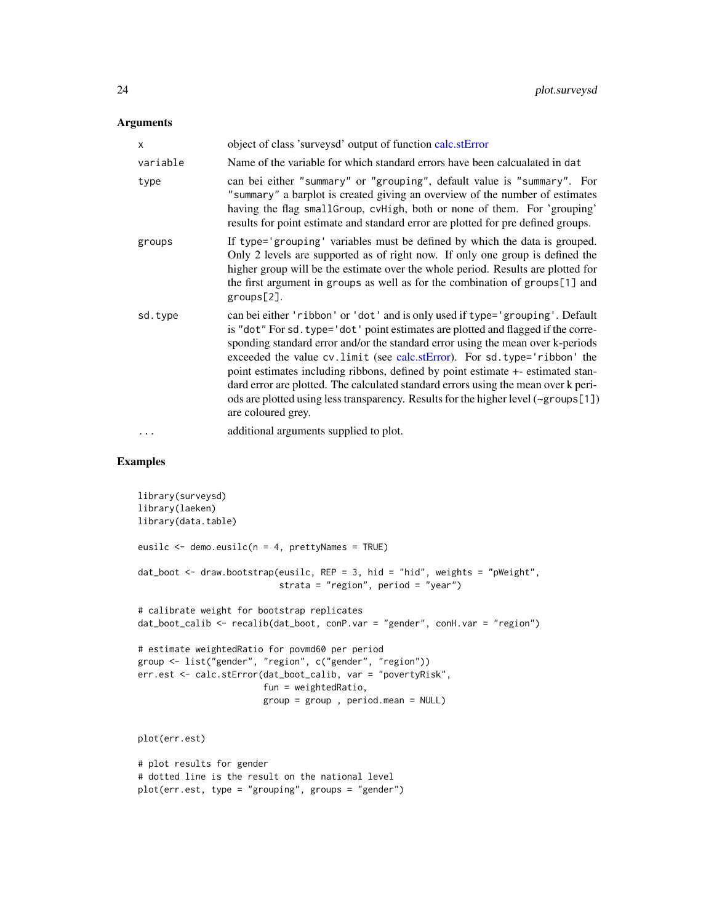#### <span id="page-23-0"></span>Arguments

| X        | object of class 'surveysd' output of function calc.stError                                                                                                                                                                                                                                                                                                                                                                                                                                                                                                                                                             |
|----------|------------------------------------------------------------------------------------------------------------------------------------------------------------------------------------------------------------------------------------------------------------------------------------------------------------------------------------------------------------------------------------------------------------------------------------------------------------------------------------------------------------------------------------------------------------------------------------------------------------------------|
| variable | Name of the variable for which standard errors have been calcualated in dat                                                                                                                                                                                                                                                                                                                                                                                                                                                                                                                                            |
| type     | can bei either "summary" or "grouping", default value is "summary". For<br>"summary" a barplot is created giving an overview of the number of estimates<br>having the flag small Group, cvHigh, both or none of them. For 'grouping'<br>results for point estimate and standard error are plotted for pre defined groups.                                                                                                                                                                                                                                                                                              |
| groups   | If type='grouping' variables must be defined by which the data is grouped.<br>Only 2 levels are supported as of right now. If only one group is defined the<br>higher group will be the estimate over the whole period. Results are plotted for<br>the first argument in groups as well as for the combination of groups[1] and<br>groups[2].                                                                                                                                                                                                                                                                          |
| sd.type  | can bei either 'ribbon' or 'dot' and is only used if type='grouping'. Default<br>is "dot" For sd. type='dot' point estimates are plotted and flagged if the corre-<br>sponding standard error and/or the standard error using the mean over k-periods<br>exceeded the value cv.limit (see calc.stError). For sd.type='ribbon' the<br>point estimates including ribbons, defined by point estimate +- estimated stan-<br>dard error are plotted. The calculated standard errors using the mean over k peri-<br>ods are plotted using less transparency. Results for the higher level (~groups[1])<br>are coloured grey. |
| .        | additional arguments supplied to plot.                                                                                                                                                                                                                                                                                                                                                                                                                                                                                                                                                                                 |

```
library(surveysd)
library(laeken)
library(data.table)
eusilc <- demo.eusilc(n = 4, prettyNames = TRUE)
dat_boot <- draw.bootstrap(eusilc, REP = 3, hid = "hid", weights = "pWeight",
                           strata = "region", period = "year")
# calibrate weight for bootstrap replicates
dat_boot_calib <- recalib(dat_boot, conP.var = "gender", conH.var = "region")
# estimate weightedRatio for povmd60 per period
group <- list("gender", "region", c("gender", "region"))
err.est <- calc.stError(dat_boot_calib, var = "povertyRisk",
                        fun = weightedRatio,
                        group = group , period.mean = NULL)
plot(err.est)
# plot results for gender
# dotted line is the result on the national level
plot(err.est, type = "grouping", groups = "gender")
```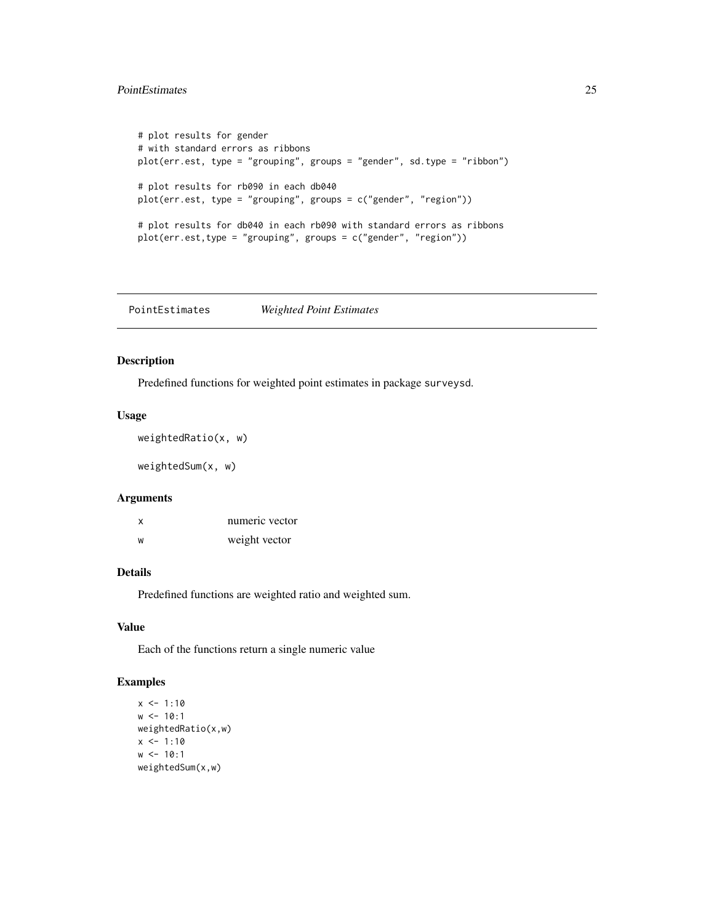#### <span id="page-24-0"></span>PointEstimates 25

```
# plot results for gender
# with standard errors as ribbons
plot(err.est, type = "grouping", groups = "gender", sd.type = "ribbon")
# plot results for rb090 in each db040
plot(err.est, type = "grouping", groups = c("gender", "region"))
# plot results for db040 in each rb090 with standard errors as ribbons
plot(err.est,type = "grouping", groups = c("gender", "region"))
```
PointEstimates *Weighted Point Estimates*

#### <span id="page-24-1"></span>Description

Predefined functions for weighted point estimates in package surveysd.

#### Usage

```
weightedRatio(x, w)
```
weightedSum(x, w)

#### Arguments

| x | numeric vector |
|---|----------------|
| W | weight vector  |

#### Details

Predefined functions are weighted ratio and weighted sum.

#### Value

Each of the functions return a single numeric value

```
x \le -1:10w < -10:1weightedRatio(x,w)
x \le -1:10w < -10:1weightedSum(x,w)
```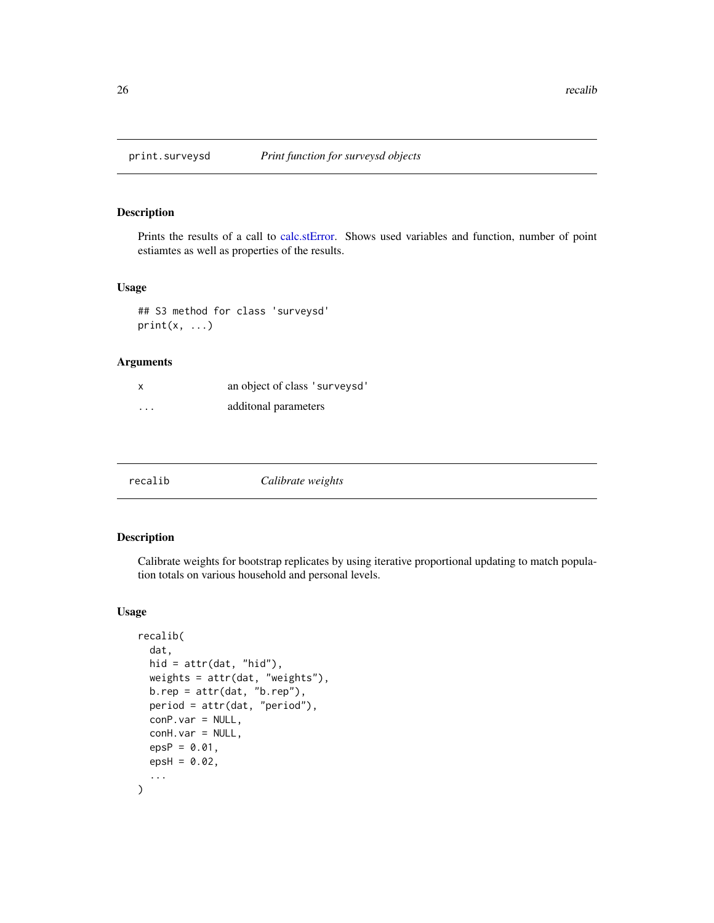<span id="page-25-0"></span>

Prints the results of a call to [calc.stError.](#page-1-1) Shows used variables and function, number of point estiamtes as well as properties of the results.

#### Usage

```
## S3 method for class 'surveysd'
print(x, \ldots)
```
#### Arguments

| $\boldsymbol{\mathsf{x}}$ | an object of class 'surveysd' |
|---------------------------|-------------------------------|
| $\cdots$                  | additonal parameters          |

<span id="page-25-1"></span>

#### Description

Calibrate weights for bootstrap replicates by using iterative proportional updating to match population totals on various household and personal levels.

#### Usage

```
recalib(
  dat,
 hid = attr(dat, "hid"),
 weights = attr(dat, "weights"),
 b. rep = attr(data, "b. rep"),period = attr(dat, "period"),
 conP.var = NULL,
  conH.var = NULL,
  epsP = 0.01,
  epsH = 0.02,
  ...
)
```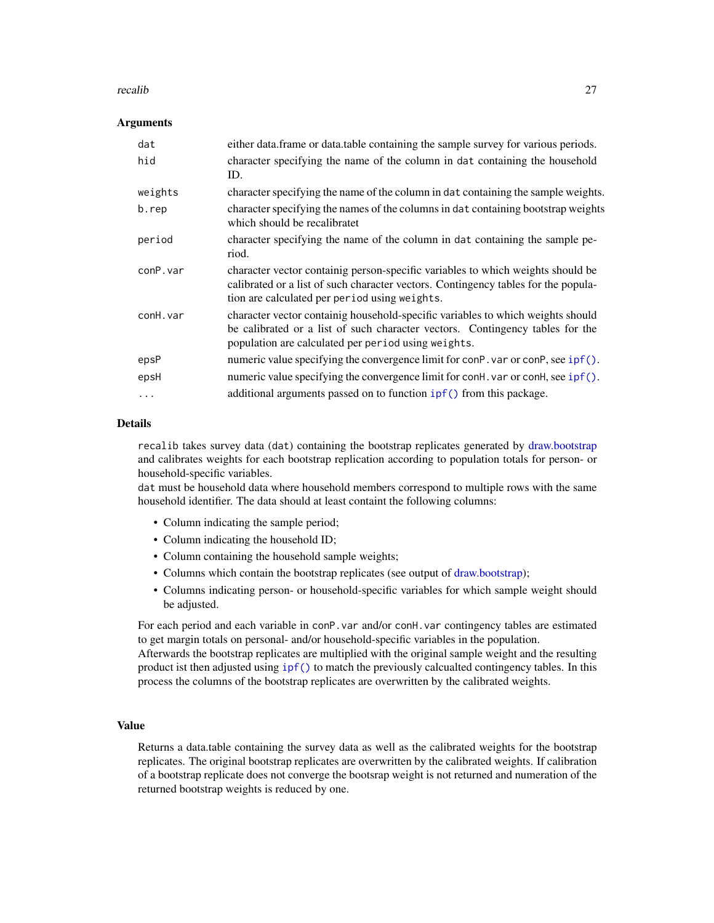#### <span id="page-26-0"></span>recalib 27

#### Arguments

| dat      | either data.frame or data.table containing the sample survey for various periods.                                                                                                                                       |
|----------|-------------------------------------------------------------------------------------------------------------------------------------------------------------------------------------------------------------------------|
| hid      | character specifying the name of the column in dat containing the household<br>ID.                                                                                                                                      |
| weights  | character specifying the name of the column in dat containing the sample weights.                                                                                                                                       |
| b.rep    | character specifying the names of the columns in dat containing bootstrap weights<br>which should be recalibratet                                                                                                       |
| period   | character specifying the name of the column in dat containing the sample pe-<br>riod.                                                                                                                                   |
| conP.var | character vector containig person-specific variables to which weights should be<br>calibrated or a list of such character vectors. Contingency tables for the popula-<br>tion are calculated per period using weights.  |
| conH.var | character vector containig household-specific variables to which weights should<br>be calibrated or a list of such character vectors. Contingency tables for the<br>population are calculated per period using weights. |
| epsP     | numeric value specifying the convergence limit for conP. var or conP, see ipf().                                                                                                                                        |
| epsH     | numeric value specifying the convergence limit for conH. var or conH, see ipf().                                                                                                                                        |
| $\ddots$ | additional arguments passed on to function ipf() from this package.                                                                                                                                                     |

#### Details

recalib takes survey data (dat) containing the bootstrap replicates generated by [draw.bootstrap](#page-11-1) and calibrates weights for each bootstrap replication according to population totals for person- or household-specific variables.

dat must be household data where household members correspond to multiple rows with the same household identifier. The data should at least containt the following columns:

- Column indicating the sample period;
- Column indicating the household ID;
- Column containing the household sample weights;
- Columns which contain the bootstrap replicates (see output of [draw.bootstrap\)](#page-11-1);
- Columns indicating person- or household-specific variables for which sample weight should be adjusted.

For each period and each variable in conP. var and/or conH. var contingency tables are estimated to get margin totals on personal- and/or household-specific variables in the population.

Afterwards the bootstrap replicates are multiplied with the original sample weight and the resulting product ist then adjusted using [ipf\(\)](#page-16-1) to match the previously calcualted contingency tables. In this process the columns of the bootstrap replicates are overwritten by the calibrated weights.

#### Value

Returns a data.table containing the survey data as well as the calibrated weights for the bootstrap replicates. The original bootstrap replicates are overwritten by the calibrated weights. If calibration of a bootstrap replicate does not converge the bootsrap weight is not returned and numeration of the returned bootstrap weights is reduced by one.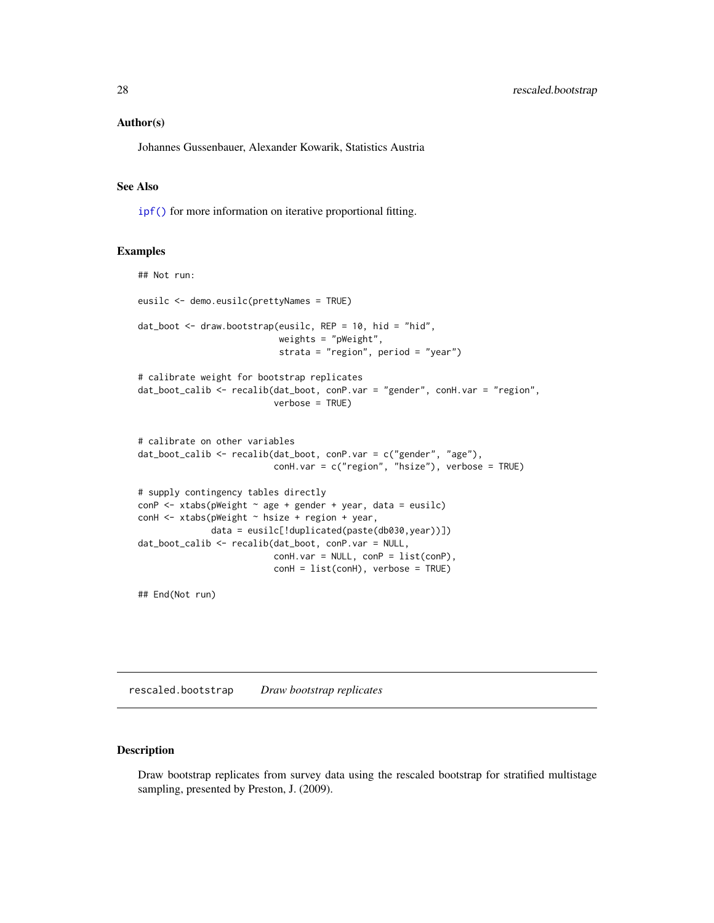#### <span id="page-27-0"></span>Author(s)

Johannes Gussenbauer, Alexander Kowarik, Statistics Austria

#### See Also

[ipf\(\)](#page-16-1) for more information on iterative proportional fitting.

#### Examples

```
## Not run:
eusilc <- demo.eusilc(prettyNames = TRUE)
dat_boot <- draw.bootstrap(eusilc, REP = 10, hid = "hid",
                           weights = "pWeight",
                           strata = "region", period = "year")
# calibrate weight for bootstrap replicates
dat_boot_calib <- recalib(dat_boot, conP.var = "gender", conH.var = "region",
                          verbose = TRUE)
# calibrate on other variables
dat_boot_calib <- recalib(dat_boot, conP.var = c("gender", "age"),
                          conH.var = c("region", "hsize"), verbose = TRUE)
# supply contingency tables directly
conP <- xtabs(pWeight ~ age + gender + year, data = eusilc)
conH <- xtabs(pWeight ~ hsize + region + year,
              data = eusilc[!duplicated(paste(db030,year))])
dat_boot_calib <- recalib(dat_boot, conP.var = NULL,
                          conH-var = NULL, conP = list(conP),
                          conH = list(conH), verbose = TRUE)
```
## End(Not run)

<span id="page-27-1"></span>rescaled.bootstrap *Draw bootstrap replicates*

#### Description

Draw bootstrap replicates from survey data using the rescaled bootstrap for stratified multistage sampling, presented by Preston, J. (2009).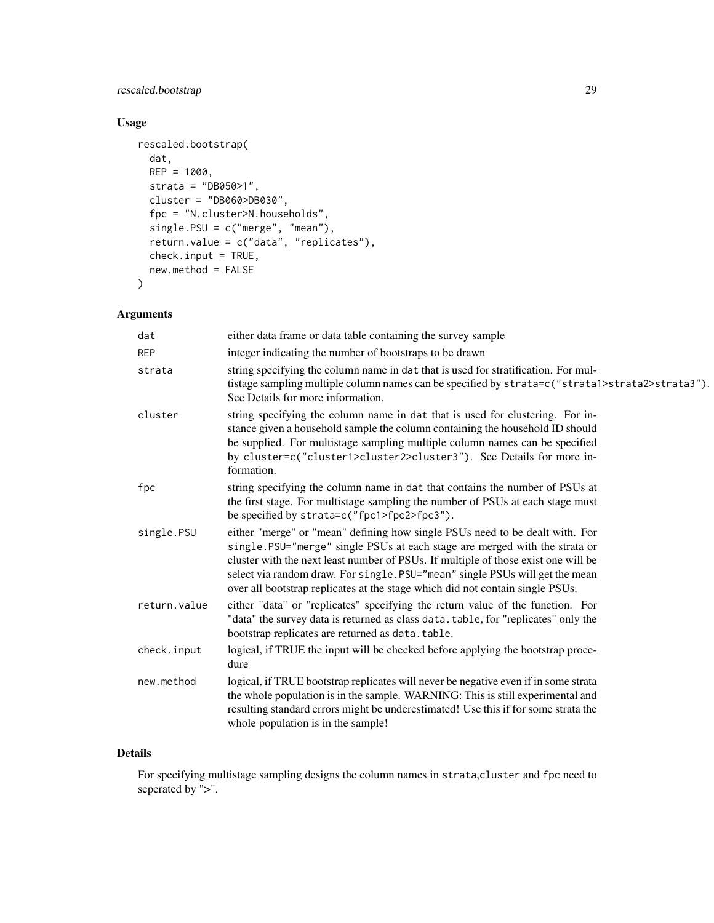#### rescaled.bootstrap 29

### Usage

```
rescaled.bootstrap(
 dat,
 REP = 1000,strata = "DB050>1",
 cluster = "DB060>DB030",
 fpc = "N.cluster>N.households",
 single.PSU = c("merge", "mean"),
 return.value = c("data", "replicates"),
 check.input = TRUE,
 new.method = FALSE
)
```
#### Arguments

| dat          | either data frame or data table containing the survey sample                                                                                                                                                                                                                                                                                                                                                      |
|--------------|-------------------------------------------------------------------------------------------------------------------------------------------------------------------------------------------------------------------------------------------------------------------------------------------------------------------------------------------------------------------------------------------------------------------|
| <b>REP</b>   | integer indicating the number of bootstraps to be drawn                                                                                                                                                                                                                                                                                                                                                           |
| strata       | string specifying the column name in dat that is used for stratification. For mul-<br>tistage sampling multiple column names can be specified by strata=c("strata1>strata2>strata3").<br>See Details for more information.                                                                                                                                                                                        |
| cluster      | string specifying the column name in dat that is used for clustering. For in-<br>stance given a household sample the column containing the household ID should<br>be supplied. For multistage sampling multiple column names can be specified<br>by cluster=c("cluster1>cluster2>cluster3"). See Details for more in-<br>formation.                                                                               |
| fpc          | string specifying the column name in dat that contains the number of PSUs at<br>the first stage. For multistage sampling the number of PSUs at each stage must<br>be specified by strata=c("fpc1>fpc2>fpc3").                                                                                                                                                                                                     |
| single.PSU   | either "merge" or "mean" defining how single PSUs need to be dealt with. For<br>single.PSU="merge" single PSUs at each stage are merged with the strata or<br>cluster with the next least number of PSUs. If multiple of those exist one will be<br>select via random draw. For single. PSU="mean" single PSUs will get the mean<br>over all bootstrap replicates at the stage which did not contain single PSUs. |
| return.value | either "data" or "replicates" specifying the return value of the function. For<br>"data" the survey data is returned as class data. table, for "replicates" only the<br>bootstrap replicates are returned as data.table.                                                                                                                                                                                          |
| check.input  | logical, if TRUE the input will be checked before applying the bootstrap proce-<br>dure                                                                                                                                                                                                                                                                                                                           |
| new.method   | logical, if TRUE bootstrap replicates will never be negative even if in some strata<br>the whole population is in the sample. WARNING: This is still experimental and<br>resulting standard errors might be underestimated! Use this if for some strata the<br>whole population is in the sample!                                                                                                                 |

#### Details

For specifying multistage sampling designs the column names in strata,cluster and fpc need to seperated by ">".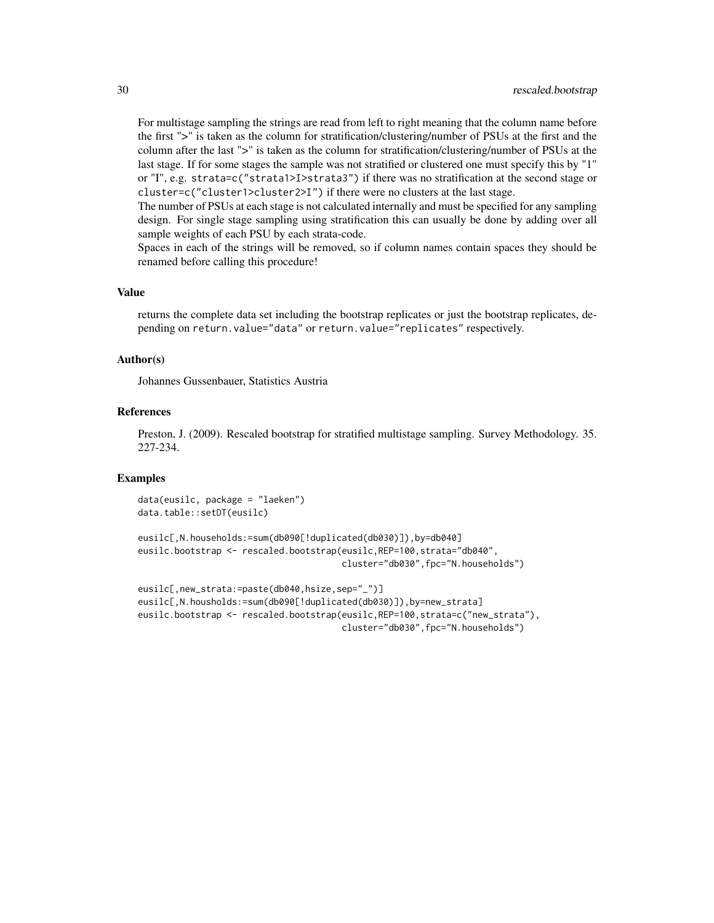For multistage sampling the strings are read from left to right meaning that the column name before the first ">" is taken as the column for stratification/clustering/number of PSUs at the first and the column after the last ">" is taken as the column for stratification/clustering/number of PSUs at the last stage. If for some stages the sample was not stratified or clustered one must specify this by "1" or "I", e.g. strata=c("strata1>I>strata3") if there was no stratification at the second stage or cluster=c("cluster1>cluster2>I") if there were no clusters at the last stage.

The number of PSUs at each stage is not calculated internally and must be specified for any sampling design. For single stage sampling using stratification this can usually be done by adding over all sample weights of each PSU by each strata-code.

Spaces in each of the strings will be removed, so if column names contain spaces they should be renamed before calling this procedure!

#### Value

returns the complete data set including the bootstrap replicates or just the bootstrap replicates, depending on return.value="data" or return.value="replicates" respectively.

#### Author(s)

Johannes Gussenbauer, Statistics Austria

#### References

Preston, J. (2009). Rescaled bootstrap for stratified multistage sampling. Survey Methodology. 35. 227-234.

```
data(eusilc, package = "laeken")
data.table::setDT(eusilc)
```

```
eusilc[,N.households:=sum(db090[!duplicated(db030)]),by=db040]
eusilc.bootstrap <- rescaled.bootstrap(eusilc,REP=100,strata="db040",
                                       cluster="db030",fpc="N.households")
```

```
eusilc[,new_strata:=paste(db040,hsize,sep="_")]
eusilc[,N.housholds:=sum(db090[!duplicated(db030)]),by=new_strata]
eusilc.bootstrap <- rescaled.bootstrap(eusilc,REP=100,strata=c("new_strata"),
                                      cluster="db030",fpc="N.households")
```